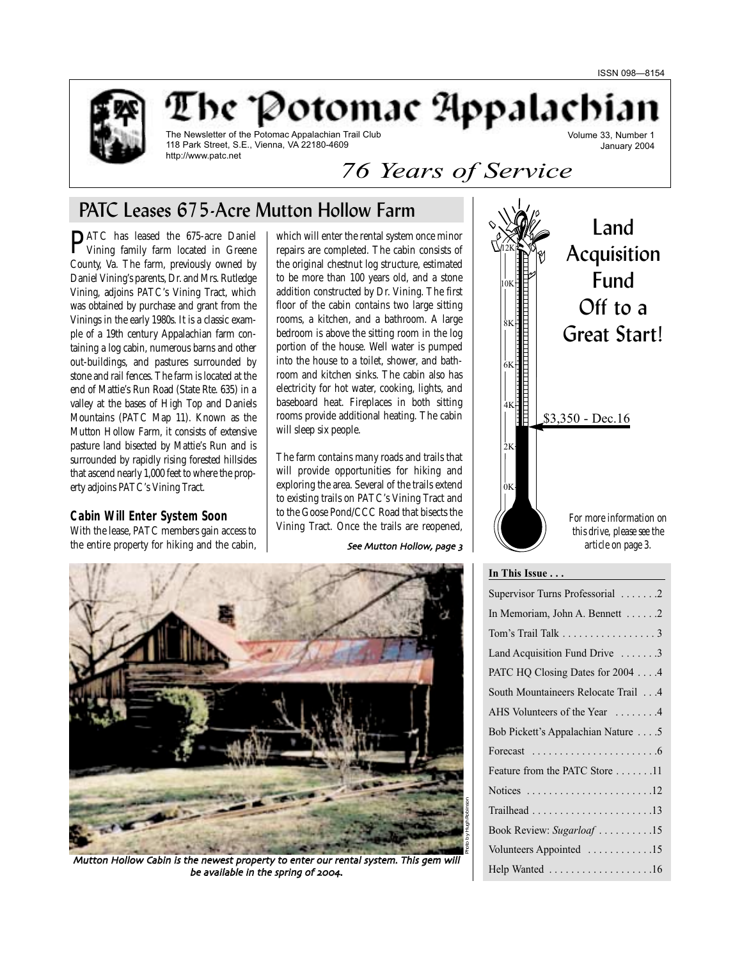

be "Potomac Appalachi

The Newsletter of the Potomac Appalachian Trail Club 118 Park Street, S.E., Vienna, VA 22180-4609 http://www.patc.net

Volume 33, Number 1 January 2004

# *76 Years of Service*

# PATC Leases 675-Acre Mutton Hollow Farm

**PATC** has leased the 675-acre Daniel<br>Vining family farm located in Greene County, Va. The farm, previously owned by Daniel Vining's parents, Dr. and Mrs. Rutledge Vining, adjoins PATC's Vining Tract, which was obtained by purchase and grant from the Vinings in the early 1980s. It is a classic example of a 19th century Appalachian farm containing a log cabin, numerous barns and other out-buildings, and pastures surrounded by stone and rail fences. The farm is located at the end of Mattie's Run Road (State Rte. 635) in a valley at the bases of High Top and Daniels Mountains (PATC Map 11). Known as the Mutton Hollow Farm, it consists of extensive pasture land bisected by Mattie's Run and is surrounded by rapidly rising forested hillsides that ascend nearly 1,000 feet to where the property adjoins PATC's Vining Tract.

### **Cabin Will Enter System Soon**

With the lease, PATC members gain access to the entire property for hiking and the cabin,

which will enter the rental system once minor repairs are completed. The cabin consists of the original chestnut log structure, estimated to be more than 100 years old, and a stone addition constructed by Dr. Vining. The first floor of the cabin contains two large sitting rooms, a kitchen, and a bathroom. A large bedroom is above the sitting room in the log portion of the house. Well water is pumped into the house to a toilet, shower, and bathroom and kitchen sinks. The cabin also has electricity for hot water, cooking, lights, and baseboard heat. Fireplaces in both sitting rooms provide additional heating. The cabin will sleep six people.

The farm contains many roads and trails that will provide opportunities for hiking and exploring the area. Several of the trails extend to existing trails on PATC's Vining Tract and to the Goose Pond/CCC Road that bisects the Vining Tract. Once the trails are reopened,

See Mutton Hollow, page 3



Mutton Hollow Cabin is the newest property to enter our rental system. This gem will be available in the spring of 2004.



# **In This Issue . . .**

| Supervisor Turns Professorial 2                               |
|---------------------------------------------------------------|
| In Memoriam, John A. Bennett 2                                |
| Tom's Trail Talk $\ldots \ldots \ldots \ldots \ldots$         |
| Land Acquisition Fund Drive 3                                 |
| PATC HQ Closing Dates for 2004 4                              |
| South Mountaineers Relocate Trail 4                           |
| AHS Volunteers of the Year 4                                  |
| Bob Pickett's Appalachian Nature 5                            |
| Forecast $\ldots \ldots \ldots \ldots \ldots \ldots \ldots$   |
| Feature from the PATC Store 11                                |
| Notices $\ldots \ldots \ldots \ldots \ldots \ldots \ldots 12$ |
|                                                               |
| Book Review: Sugarloaf 15                                     |
| Volunteers Appointed 15                                       |
| Help Wanted 16                                                |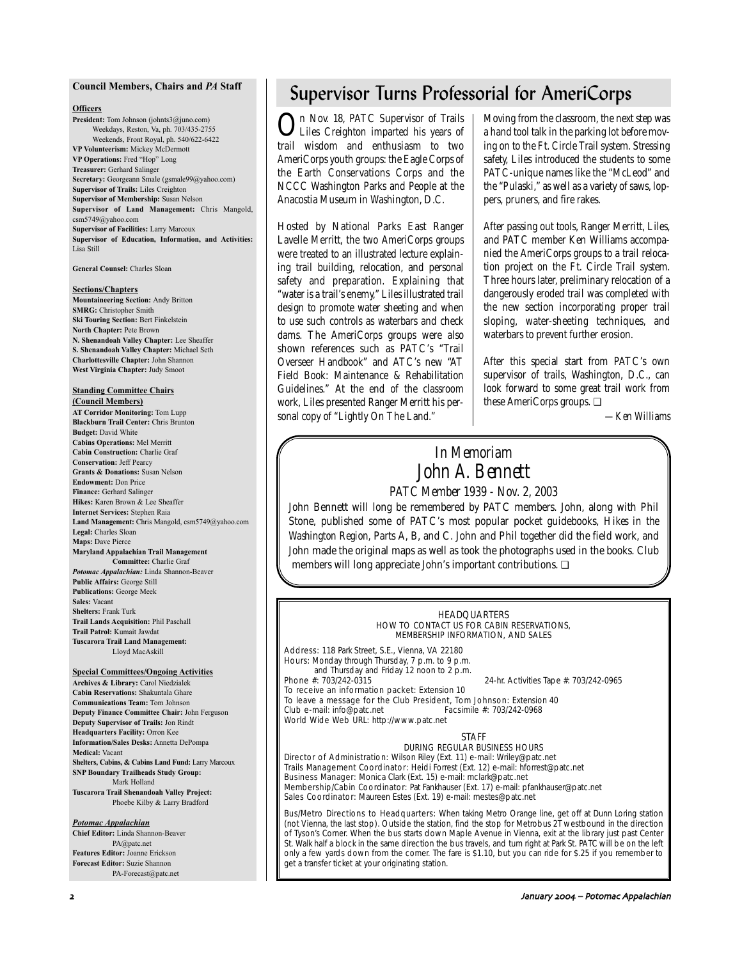### **Council Members, Chairs and** *PA* **Staff**

### **Officers**

**President:** Tom Johnson (johnts3@juno.com) Weekdays, Reston, Va, ph. 703/435-2755 Weekends, Front Royal, ph. 540/622-6422 **VP Volunteerism:** Mickey McDermott **VP Operations:** Fred "Hop" Long **Treasurer:** Gerhard Salinger **Secretary:** Georgeann Smale (gsmale99@yahoo.com) **Supervisor of Trails:** Liles Creighton **Supervisor of Membership:** Susan Nelson **Supervisor of Land Management:** Chris Mangold, csm5749@yahoo.com **Supervisor of Facilities:** Larry Marcoux **Supervisor of Education, Information, and Activities:** Lisa Still

**General Counsel:** Charles Sloan

#### **Sections/Chapters**

**Mountaineering Section:** Andy Britton **SMRG:** Christopher Smith **Ski Touring Section:** Bert Finkelstein **North Chapter:** Pete Brown **N. Shenandoah Valley Chapter:** Lee Sheaffer **S. Shenandoah Valley Chapter:** Michael Seth **Charlottesville Chapter:** John Shannon **West Virginia Chapter:** Judy Smoot

# **Standing Committee Chairs**

**(Council Members) AT Corridor Monitoring:** Tom Lupp **Blackburn Trail Center:** Chris Brunton **Budget:** David White **Cabins Operations:** Mel Merritt **Cabin Construction:** Charlie Graf **Conservation:** Jeff Pearcy **Grants & Donations:** Susan Nelson **Endowment:** Don Price **Finance:** Gerhard Salinger **Hikes:** Karen Brown & Lee Sheaffer **Internet Services:** Stephen Raia **Land Management:** Chris Mangold, csm5749@yahoo.com **Legal:** Charles Sloan **Maps:** Dave Pierce **Maryland Appalachian Trail Management Committee:** Charlie Graf *Potomac Appalachian:* Linda Shannon-Beaver **Public Affairs:** George Still **Publications:** George Meek **Sales:** Vacant **Shelters:** Frank Turk **Trail Lands Acquisition:** Phil Paschall **Trail Patrol:** Kumait Jawdat

**Tuscarora Trail Land Management:** Lloyd MacAskill

#### **Special Committees/Ongoing Activities**

**Archives & Library:** Carol Niedzialek **Cabin Reservations:** Shakuntala Ghare **Communications Team:** Tom Johnson **Deputy Finance Committee Chair:** John Ferguson **Deputy Supervisor of Trails:** Jon Rindt **Headquarters Facility:** Orron Kee **Information/Sales Desks:** Annetta DePompa **Medical:** Vacant **Shelters, Cabins, & Cabins Land Fund:** Larry Marcoux **SNP Boundary Trailheads Study Group:** Mark Holland **Tuscarora Trail Shenandoah Valley Project:** Phoebe Kilby & Larry Bradford

#### *Potomac Appalachian*

**Chief Editor:** Linda Shannon-Beaver PA@patc.net **Features Editor:** Joanne Erickson **Forecast Editor:** Suzie Shannon PA-Forecast@patc.net

# Supervisor Turns Professorial for AmeriCorps

On Nov. 18, PATC Supervisor of Trails Liles Creighton imparted his years of trail wisdom and enthusiasm to two AmeriCorps youth groups: the Eagle Corps of the Earth Conservations Corps and the NCCC Washington Parks and People at the Anacostia Museum in Washington, D.C.

Hosted by National Parks East Ranger Lavelle Merritt, the two AmeriCorps groups were treated to an illustrated lecture explaining trail building, relocation, and personal safety and preparation. Explaining that "water is a trail's enemy," Liles illustrated trail design to promote water sheeting and when to use such controls as waterbars and check dams. The AmeriCorps groups were also shown references such as PATC's "Trail Overseer Handbook" and ATC's new "AT Field Book: Maintenance & Rehabilitation Guidelines." At the end of the classroom work, Liles presented Ranger Merritt his personal copy of "Lightly On The Land."

Moving from the classroom, the next step was a hand tool talk in the parking lot before moving on to the Ft. Circle Trail system. Stressing safety, Liles introduced the students to some PATC-unique names like the "McLeod" and the "Pulaski," as well as a variety of saws, loppers, pruners, and fire rakes.

After passing out tools, Ranger Merritt, Liles, and PATC member Ken Williams accompanied the AmeriCorps groups to a trail relocation project on the Ft. Circle Trail system. Three hours later, preliminary relocation of a dangerously eroded trail was completed with the new section incorporating proper trail sloping, water-sheeting techniques, and waterbars to prevent further erosion.

After this special start from PATC's own supervisor of trails, Washington, D.C., can look forward to some great trail work from these AmeriCorps groups. ❏

*—Ken Williams*

# *In Memoriam John A. Bennett PATC Member 1939 - Nov. 2, 2003*

John Bennett will long be remembered by PATC members. John, along with Phil Stone, published some of PATC's most popular pocket guidebooks, *Hikes in the Washington Region,* Parts A, B, and C. John and Phil together did the field work, and John made the original maps as well as took the photographs used in the books. Club members will long appreciate John's important contributions. ❏

#### **HEADOUARTERS** HOW TO CONTACT US FOR CABIN RESERVATIONS, MEMBERSHIP INFORMATION, AND SALES

Address: 118 Park Street, S.E., Vienna, VA 22180 Hours: Monday through Thursday, 7 p.m. to 9 p.m. and Thursday and Friday 12 noon to 2 p.m.<br>**Phone #:** 703/242-0315

24-hr. Activities Tape #: 703/242-0965

To receive an information packet: Extension 10 To leave a message for the Club President, Tom Johnson: Extension 40<br>Club e-mail: info@patc.net Facsimile #: 703/242-0968 Club e-mail: info@patc.net World Wide Web URL: http://www.patc.net

#### **STAFF**

#### DURING REGULAR BUSINESS HOURS

Director of Administration: Wilson Riley (Ext. 11) e-mail: Wriley@patc.net Trails Management Coordinator: Heidi Forrest (Ext. 12) e-mail: hforrest@patc.net Business Manager: Monica Clark (Ext. 15) e-mail: mclark@patc.net Membership/Cabin Coordinator: Pat Fankhauser (Ext. 17) e-mail: pfankhauser@patc.net Sales Coordinator: Maureen Estes (Ext. 19) e-mail: mestes@patc.net

Bus/Metro Directions to Headquarters: When taking Metro Orange line, get off at Dunn Loring station (not Vienna, the last stop). Outside the station, find the stop for Metrobus 2T westbound in the direction of Tyson's Corner. When the bus starts down Maple Avenue in Vienna, exit at the library just past Center St. Walk half a block in the same direction the bus travels, and turn right at Park St. PATC will be on the left only a few yards down from the corner. The fare is \$1.10, but you can ride for \$.25 if you remember to get a transfer ticket at your originating station.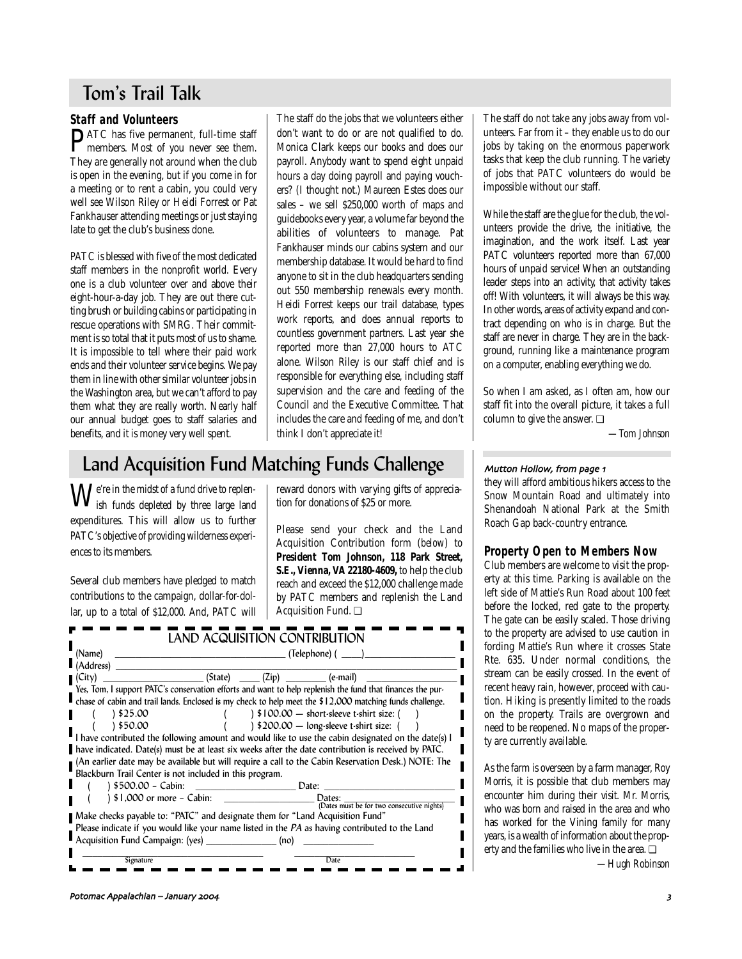# Tom's Trail Talk

# **Staff and Volunteers**

PATC has five permanent, full-time staff members. Most of you never see them. They are generally not around when the club is open in the evening, but if you come in for a meeting or to rent a cabin, you could very well see Wilson Riley or Heidi Forrest or Pat Fankhauser attending meetings or just staying late to get the club's business done.

PATC is blessed with five of the most dedicated staff members in the nonprofit world. Every one is a club volunteer over and above their eight-hour-a-day job. They are out there cutting brush or building cabins or participating in rescue operations with SMRG. Their commitment is so total that it puts most of us to shame. It is impossible to tell where their paid work ends and their volunteer service begins. We pay them in line with other similar volunteer jobs in the Washington area, but we can't afford to pay them what they are really worth. Nearly half our annual budget goes to staff salaries and benefits, and it is money very well spent.

The staff do the jobs that we volunteers either don't want to do or are not qualified to do. Monica Clark keeps our books and does our payroll. Anybody want to spend eight unpaid hours a day doing payroll and paying vouchers? (I thought not.) Maureen Estes does our sales – we sell \$250,000 worth of maps and guidebooks every year, a volume far beyond the abilities of volunteers to manage. Pat Fankhauser minds our cabins system and our membership database. It would be hard to find anyone to sit in the club headquarters sending out 550 membership renewals every month. Heidi Forrest keeps our trail database, types work reports, and does annual reports to countless government partners. Last year she reported more than 27,000 hours to ATC alone. Wilson Riley is our staff chief and is responsible for everything else, including staff supervision and the care and feeding of the Council and the Executive Committee. That includes the care and feeding of me, and don't think I don't appreciate it!

# Land Acquisition Fund Matching Funds Challenge

We're in the midst of a fund drive to replen-ish funds depleted by three large land expenditures. This will allow us to further PATC's objective of providing wilderness experiences to its members.

Several club members have pledged to match contributions to the campaign, dollar-for-dollar, up to a total of \$12,000. And, PATC will reward donors with varying gifts of appreciation for donations of \$25 or more.

Please send your check and the Land Acquisition Contribution form (*below*) to **President Tom Johnson, 118 Park Street, S.E., Vienna, VA 22180-4609,** to help the club reach and exceed the \$12,000 challenge made by PATC members and replenish the Land Acquisition Fund. ❏

| (Name)              |                                                                                                                                                                 |                                            |
|---------------------|-----------------------------------------------------------------------------------------------------------------------------------------------------------------|--------------------------------------------|
| l (Address)         |                                                                                                                                                                 |                                            |
| I (City)            | $(State)$ $(Zip)$ $(2ip)$ $(e-mail)$                                                                                                                            |                                            |
|                     | Yes, Tom, I support PATC's conservation efforts and want to help replenish the fund that finances the pur-                                                      |                                            |
|                     | chase of cabin and trail lands. Enclosed is my check to help meet the $$12,000$ matching funds challenge.                                                       |                                            |
| 825.00 ١            | $\frac{1}{2}$ \$100.00 – short-sleeve t-shirt size: (                                                                                                           |                                            |
| 850.00              | $\frac{1}{200.00}$ - long-sleeve t-shirt size: (                                                                                                                |                                            |
|                     | I have contributed the following amount and would like to use the cabin designated on the date(s) I                                                             |                                            |
|                     |                                                                                                                                                                 |                                            |
|                     | have indicated. Date(s) must be at least six weeks after the date contribution is received by PATC.                                                             |                                            |
|                     |                                                                                                                                                                 |                                            |
|                     | An earlier date may be available but will require a call to the Cabin Reservation Desk.) NOTE: The (<br>Blackburn Trail Center is not included in this program. |                                            |
| ) \$500.00 – Cabin: | Date:                                                                                                                                                           |                                            |
|                     | the control of the control of the control of<br>Dates:                                                                                                          |                                            |
|                     | $  $1,000 \text{ or more } - \text{Cabin}:$                                                                                                                     | (Dates must be for two consecutive nights) |
|                     | ■ Make checks payable to: "PATC" and designate them for "Land Acquisition Fund"                                                                                 |                                            |
|                     | Please indicate if you would like your name listed in the PA as having contributed to the Land<br>Acquisition Fund Campaign: (yes) _______________ (no)         |                                            |

The staff do not take any jobs away from volunteers. Far from it – they enable us to do our jobs by taking on the enormous paperwork tasks that keep the club running. The variety of jobs that PATC volunteers do would be impossible without our staff.

While the staff are the glue for the club, the volunteers provide the drive, the initiative, the imagination, and the work itself. Last year PATC volunteers reported more than 67,000 hours of unpaid service! When an outstanding leader steps into an activity, that activity takes off! With volunteers, it will always be this way. In other words, areas of activity expand and contract depending on who is in charge. But the staff are never in charge. They are in the background, running like a maintenance program on a computer, enabling everything we do.

So when I am asked, as I often am, how our staff fit into the overall picture, it takes a full column to give the answer. ❏

*—Tom Johnson*

### Mutton Hollow, from page 1

they will afford ambitious hikers access to the Snow Mountain Road and ultimately into Shenandoah National Park at the Smith Roach Gap back-country entrance.

# **Property Open to Members Now**

Club members are welcome to visit the property at this time. Parking is available on the left side of Mattie's Run Road about 100 feet before the locked, red gate to the property. The gate can be easily scaled. Those driving to the property are advised to use caution in fording Mattie's Run where it crosses State Rte. 635. Under normal conditions, the stream can be easily crossed. In the event of recent heavy rain, however, proceed with caution. Hiking is presently limited to the roads on the property. Trails are overgrown and need to be reopened. No maps of the property are currently available.

As the farm is overseen by a farm manager, Roy Morris, it is possible that club members may encounter him during their visit. Mr. Morris, who was born and raised in the area and who has worked for the Vining family for many years, is a wealth of information about the property and the families who live in the area. ❏

*—Hugh Robinson*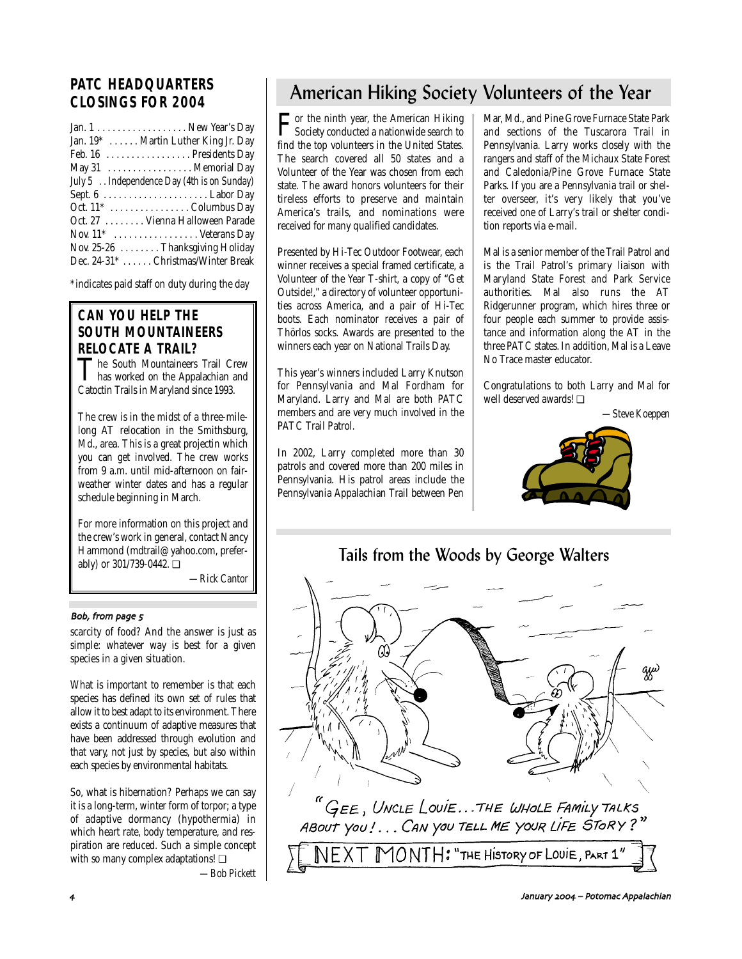# **PATC HEADQUARTERS CLOSINGS FOR 2004**

| Jan. $1 \ldots \ldots \ldots \ldots \ldots$ . New Year's Day |
|--------------------------------------------------------------|
| Jan. 19* Martin Luther King Jr. Day                          |
| Feb. 16 Presidents Day                                       |
| May 31 Memorial Day                                          |
| July 5 . Independence Day (4th is on Sunday)                 |
|                                                              |
|                                                              |
| Oct. 27  Vienna Halloween Parade                             |
| Nov. $11^*$ Veterans Day                                     |
| Nov. 25-26 $\dots$ Thanksgiving Holiday                      |
| Dec. 24-31* Christmas/Winter Break                           |

\*indicates paid staff on duty during the day

# **CAN YOU HELP THE SOUTH MOUNTAINEERS**

**RELOCATE A TRAIL?**<br>
The South Mountaineers Trail Crew **The South Mountaineers Trail Crew**<br>has worked on the Appalachian and Catoctin Trails in Maryland since 1993.

The crew is in the midst of a three-milelong AT relocation in the Smithsburg, Md., area. This is a great projectin which you can get involved. The crew works from 9 a.m. until mid-afternoon on fairweather winter dates and has a regular schedule beginning in March.

For more information on this project and the crew's work in general, contact Nancy Hammond (mdtrail@yahoo.com, preferably) or 301/739-0442. ❏

*—Rick Cantor*

### Bob, from page 5

scarcity of food? And the answer is just as simple: whatever way is best for a given species in a given situation.

What is important to remember is that each species has defined its own set of rules that allow it to best adapt to its environment. There exists a continuum of adaptive measures that have been addressed through evolution and that vary, not just by species, but also within each species by environmental habitats.

So, what is hibernation? Perhaps we can say it is a long-term, winter form of torpor; a type of adaptive dormancy (hypothermia) in which heart rate, body temperature, and respiration are reduced. Such a simple concept with so many complex adaptations! ❏

*—Bob Pickett*

# American Hiking Society Volunteers of the Year

For the ninth year, the American Hiking<br>Society conducted a nationwide search to find the top volunteers in the United States. The search covered all 50 states and a Volunteer of the Year was chosen from each state. The award honors volunteers for their tireless efforts to preserve and maintain America's trails, and nominations were received for many qualified candidates.

Presented by Hi-Tec Outdoor Footwear, each winner receives a special framed certificate, a Volunteer of the Year T-shirt, a copy of "Get Outside!," a directory of volunteer opportunities across America, and a pair of Hi-Tec boots. Each nominator receives a pair of Thörlos socks. Awards are presented to the winners each year on National Trails Day.

This year's winners included Larry Knutson for Pennsylvania and Mal Fordham for Maryland. Larry and Mal are both PATC members and are very much involved in the PATC Trail Patrol.

In 2002, Larry completed more than 30 patrols and covered more than 200 miles in Pennsylvania. His patrol areas include the Pennsylvania Appalachian Trail between Pen

Mar, Md., and Pine Grove Furnace State Park and sections of the Tuscarora Trail in Pennsylvania. Larry works closely with the rangers and staff of the Michaux State Forest and Caledonia/Pine Grove Furnace State Parks. If you are a Pennsylvania trail or shelter overseer, it's very likely that you've received one of Larry's trail or shelter condition reports via e-mail.

Mal is a senior member of the Trail Patrol and is the Trail Patrol's primary liaison with Maryland State Forest and Park Service authorities. Mal also runs the AT Ridgerunner program, which hires three or four people each summer to provide assistance and information along the AT in the three PATC states. In addition, Mal is a Leave No Trace master educator.

Congratulations to both Larry and Mal for well deserved awards! ❏

*—Steve Koeppen*



# Tails from the Woods by George Walters

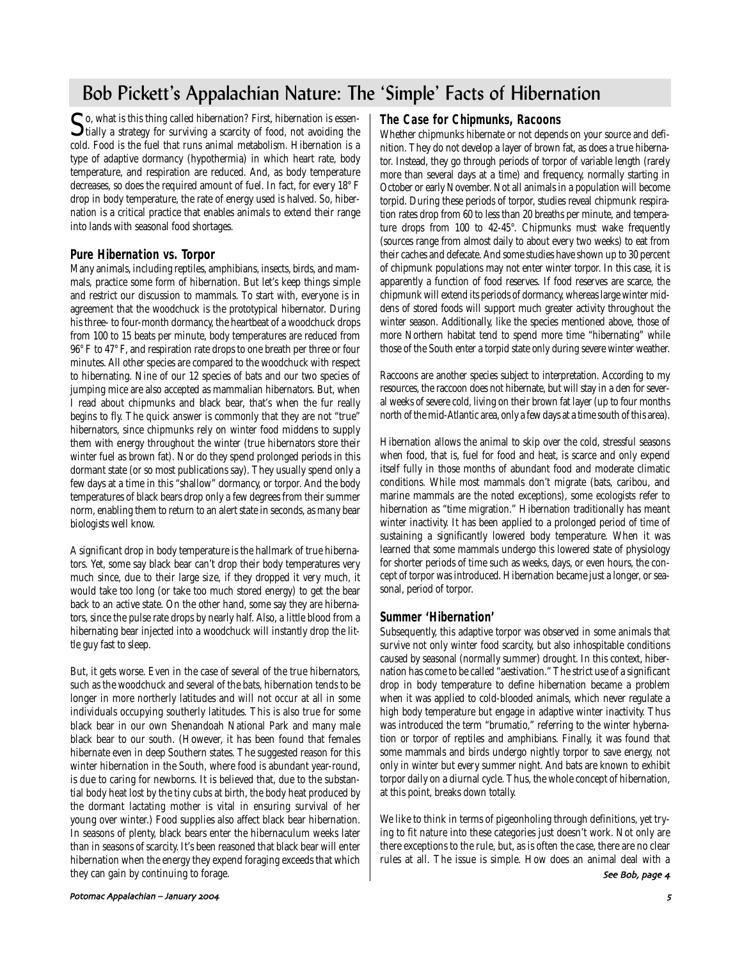# Bob Pickett's Appalachian Nature: The 'Simple' Facts of Hibernation

So, what is this thing called hibernation? First, hibernation is essen-<br>tially a strategy for surviving a scarcity of food, not avoiding the<br>likely is the strike of the strike in the strike of the strike is the strike of t cold. Food is the fuel that runs animal metabolism. Hibernation is a type of adaptive dormancy (hypothermia) in which heart rate, body temperature, and respiration are reduced. And, as body temperature decreases, so does the required amount of fuel. In fact, for every 18° F drop in body temperature, the rate of energy used is halved. So, hibernation is a critical practice that enables animals to extend their range into lands with seasonal food shortages.

### **Pure Hibernation vs. Torpor**

Many animals, including reptiles, amphibians, insects, birds, and mammals, practice some form of hibernation. But let's keep things simple and restrict our discussion to mammals. To start with, everyone is in agreement that the woodchuck is the prototypical hibernator. During his three- to four-month dormancy, the heartbeat of a woodchuck drops from 100 to 15 beats per minute, body temperatures are reduced from 96° F to 47° F, and respiration rate drops to one breath per three or four minutes. All other species are compared to the woodchuck with respect to hibernating. Nine of our 12 species of bats and our two species of jumping mice are also accepted as mammalian hibernators. But, when I read about chipmunks and black bear, that's when the fur really begins to fly. The quick answer is commonly that they are not "true" hibernators, since chipmunks rely on winter food middens to supply them with energy throughout the winter (true hibernators store their winter fuel as brown fat). Nor do they spend prolonged periods in this dormant state (or so most publications say). They usually spend only a few days at a time in this "shallow" dormancy, or torpor. And the body temperatures of black bears drop only a few degrees from their summer norm, enabling them to return to an alert state in seconds, as many bear biologists well know.

A significant drop in body temperature is the hallmark of true hibernators. Yet, some say black bear can't drop their body temperatures very much since, due to their large size, if they dropped it very much, it would take too long (or take too much stored energy) to get the bear back to an active state. On the other hand, some say they are hibernators, since the pulse rate drops by nearly half. Also, a little blood from a hibernating bear injected into a woodchuck will instantly drop the little guy fast to sleep.

But, it gets worse. Even in the case of several of the true hibernators, such as the woodchuck and several of the bats, hibernation tends to be longer in more northerly latitudes and will not occur at all in some individuals occupying southerly latitudes. This is also true for some black bear in our own Shenandoah National Park and many male black bear to our south. (However, it has been found that females hibernate even in deep Southern states. The suggested reason for this winter hibernation in the South, where food is abundant year-round, is due to caring for newborns. It is believed that, due to the substantial body heat lost by the tiny cubs at birth, the body heat produced by the dormant lactating mother is vital in ensuring survival of her young over winter.) Food supplies also affect black bear hibernation. In seasons of plenty, black bears enter the hibernaculum weeks later than in seasons of scarcity. It's been reasoned that black bear will enter hibernation when the energy they expend foraging exceeds that which they can gain by continuing to forage.

# **The Case for Chipmunks, Racoons**

Whether chipmunks hibernate or not depends on your source and definition. They do not develop a layer of brown fat, as does a true hibernator. Instead, they go through periods of torpor of variable length (rarely more than several days at a time) and frequency, normally starting in October or early November. Not all animals in a population will become torpid. During these periods of torpor, studies reveal chipmunk respiration rates drop from 60 to less than 20 breaths per minute, and temperature drops from 100 to 42-45°. Chipmunks must wake frequently (sources range from almost daily to about every two weeks) to eat from their caches and defecate. And some studies have shown up to 30 percent of chipmunk populations may not enter winter torpor. In this case, it is apparently a function of food reserves. If food reserves are scarce, the chipmunk will extend its periods of dormancy, whereas large winter middens of stored foods will support much greater activity throughout the winter season. Additionally, like the species mentioned above, those of more Northern habitat tend to spend more time "hibernating" while those of the South enter a torpid state only during severe winter weather.

Raccoons are another species subject to interpretation. According to my resources, the raccoon does not hibernate, but will stay in a den for several weeks of severe cold, living on their brown fat layer (up to four months north of the mid-Atlantic area, only a few days at a time south of this area).

Hibernation allows the animal to skip over the cold, stressful seasons when food, that is, fuel for food and heat, is scarce and only expend itself fully in those months of abundant food and moderate climatic conditions. While most mammals don't migrate (bats, caribou, and marine mammals are the noted exceptions), some ecologists refer to hibernation as "time migration." Hibernation traditionally has meant winter inactivity. It has been applied to a prolonged period of time of sustaining a significantly lowered body temperature. When it was learned that some mammals undergo this lowered state of physiology for shorter periods of time such as weeks, days, or even hours, the concept of torpor was introduced. Hibernation became just a longer, or seasonal, period of torpor.

# **Summer 'Hibernation'**

Subsequently, this adaptive torpor was observed in some animals that survive not only winter food scarcity, but also inhospitable conditions caused by seasonal (normally summer) drought. In this context, hibernation has come to be called "aestivation." The strict use of a significant drop in body temperature to define hibernation became a problem when it was applied to cold-blooded animals, which never regulate a high body temperature but engage in adaptive winter inactivity. Thus was introduced the term "brumatio," referring to the winter hybernation or torpor of reptiles and amphibians. Finally, it was found that some mammals and birds undergo nightly torpor to save energy, not only in winter but every summer night. And bats are known to exhibit torpor daily on a diurnal cycle. Thus, the whole concept of hibernation, at this point, breaks down totally.

We like to think in terms of pigeonholing through definitions, yet trying to fit nature into these categories just doesn't work. Not only are there exceptions to the rule, but, as is often the case, there are no clear rules at all. The issue is simple. How does an animal deal with a

See Bob, page 4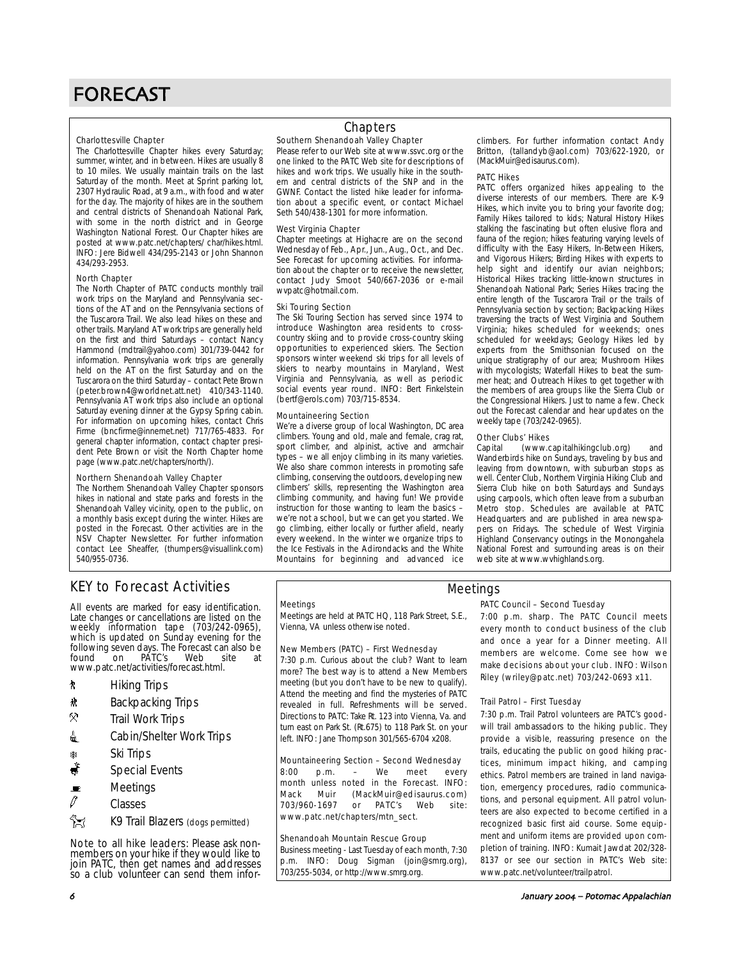#### Charlottesville Chapter

The Charlottesville Chapter hikes every Saturday; summer, winter, and in between. Hikes are usually 8 to 10 miles. We usually maintain trails on the last Saturday of the month. Meet at Sprint parking lot, 2307 Hydraulic Road, at 9 a.m., with food and water for the day. The majority of hikes are in the southern and central districts of Shenandoah National Park, with some in the north district and in George Washington National Forest. Our Chapter hikes are posted at www.patc.net/chapters/ char/hikes.html. INFO: Jere Bidwell 434/295-2143 or John Shannon 434/293-2953.

#### North Chapter

The North Chapter of PATC conducts monthly trail work trips on the Maryland and Pennsylvania sections of the AT and on the Pennsylvania sections of the Tuscarora Trail. We also lead hikes on these and other trails. Maryland AT work trips are generally held on the first and third Saturdays – contact Nancy Hammond (mdtrail@yahoo.com) 301/739-0442 for information. Pennsylvania work trips are generally held on the AT on the first Saturday and on the Tuscarora on the third Saturday – contact Pete Brown (peter.brown4@worldnet.att.net) 410/343-1140. Pennsylvania AT work trips also include an optional Saturday evening dinner at the Gypsy Spring cabin. For information on upcoming hikes, contact Chris Firme (bncfirme@innernet.net) 717/765-4833. For general chapter information, contact chapter president Pete Brown or visit the North Chapter home page (www.patc.net/chapters/north/).

#### Northern Shenandoah Valley Chapter

The Northern Shenandoah Valley Chapter sponsors hikes in national and state parks and forests in the Shenandoah Valley vicinity, open to the public, on a monthly basis except during the winter. Hikes are posted in the Forecast. Other activities are in the NSV Chapter Newsletter. For further information contact Lee Sheaffer, (thumpers@visuallink.com) 540/955-0736.

### Southern Shenandoah Valley Chapter **Chapters**

Please refer to our Web site at www.ssvc.org or the one linked to the PATC Web site for descriptions of hikes and work trips. We usually hike in the southern and central districts of the SNP and in the GWNF. Contact the listed hike leader for informa-

tion about a specific event, or contact Michael Seth 540/438-1301 for more information.

#### West Virginia Chapter

Chapter meetings at Highacre are on the second Wednesday of Feb., Apr., Jun., Aug., Oct., and Dec. See Forecast for upcoming activities. For information about the chapter or to receive the newsletter, contact Judy Smoot 540/667-2036 or e-mail wvpatc@hotmail.com.

#### Ski Touring Section

The Ski Touring Section has served since 1974 to introduce Washington area residents to crosscountry skiing and to provide cross-country skiing opportunities to experienced skiers. The Section sponsors winter weekend ski trips for all levels of skiers to nearby mountains in Maryland, West Virginia and Pennsylvania, as well as periodic social events year round. INFO: Bert Finkelstein (bertf@erols.com) 703/715-8534.

#### Mountaineering Section

We're a diverse group of local Washington, DC area climbers. Young and old, male and female, crag rat, sport climber, and alpinist, active and armchair types – we all enjoy climbing in its many varieties. We also share common interests in promoting safe climbing, conserving the outdoors, developing new climbers' skills, representing the Washington area climbing community, and having fun! We provide instruction for those wanting to learn the basics – we're not a school, but we can get you started. We go climbing, either locally or further afield, nearly every weekend. In the winter we organize trips to the Ice Festivals in the Adirondacks and the White Mountains for beginning and advanced ice climbers. For further information contact Andy Britton, (tallandyb@aol.com) 703/622-1920, or (MackMuir@edisaurus.com).

#### PATC Hikes

PATC offers organized hikes appealing to the diverse interests of our members. There are K-9 Hikes, which invite you to bring your favorite dog; Family Hikes tailored to kids; Natural History Hikes stalking the fascinating but often elusive flora and fauna of the region; hikes featuring varying levels of difficulty with the Easy Hikers, In-Between Hikers, and Vigorous Hikers; Birding Hikes with experts to help sight and identify our avian neighbors; Historical Hikes tracking little-known structures in Shenandoah National Park; Series Hikes tracing the entire length of the Tuscarora Trail or the trails of Pennsylvania section by section; Backpacking Hikes traversing the tracts of West Virginia and Southern Virginia; hikes scheduled for weekends; ones scheduled for weekdays; Geology Hikes led by experts from the Smithsonian focused on the unique stratigraphy of our area; Mushroom Hikes with mycologists; Waterfall Hikes to beat the summer heat; and Outreach Hikes to get together with the members of area groups like the Sierra Club or the Congressional Hikers. Just to name a few. Check out the Forecast calendar and hear updates on the weekly tape (703/242-0965).

# **Other Clubs' Hikes**<br>Capital (www.c

(www.capital hikingclub.org) and Wanderbirds hike on Sundays, traveling by bus and leaving from downtown, with suburban stops as well. Center Club, Northern Virginia Hiking Club and Sierra Club hike on both Saturdays and Sundays using carpools, which often leave from a suburban Metro stop. Schedules are available at PATC Headquarters and are published in area newspapers on Fridays. The schedule of West Virginia Highland Conservancy outings in the Monongahela National Forest and surrounding areas is on their web site at www.wvhighlands.org.

# KEY to Forecast Activities

All events are marked for easy identification. Late changes or cancellations are listed on the weekly information tape (703/242-0965), which is updated on Sunday evening for the following seven days. The Forecast can also be PÁTC's www.patc.net/activities/forecast.html.

- *k* Hiking Trips
- \* Backpacking Trips
- . Trail Work Trips
- <u>4</u> Cabin/Shelter Work Trips
- **A Ski Trips**
- Special Events
- $\blacksquare$  Meetings
- $\mathscr O$  Classes
- K9 Trail Blazers (dogs permitted)

Note to all hike leaders: Please ask nonmembers on your hike if they would like to join PATC, then get names and addresses so a club volunteer can send them infor-

#### **Meetings**

Meetings are held at PATC HQ, 118 Park Street, S.E., Vienna, VA unless otherwise noted.

#### New Members (PATC) – First Wednesday

7:30 p.m. Curious about the club? Want to learn more? The best way is to attend a New Members meeting (but you don't have to be new to qualify). Attend the meeting and find the mysteries of PATC revealed in full. Refreshments will be served. Directions to PATC: Take Rt. 123 into Vienna, Va. and turn east on Park St. (Rt.675) to 118 Park St. on your left. INFO: Jane Thompson 301/565-6704 x208.

#### Mountaineering Section – Second Wednesday

8:00 p.m. – We meet every month unless noted in the Forecast. INFO: Mack Muir (MackMuir@edisaurus.com)<br>703/960-1697 or PATC's Web site: 703/960-1697 or PATC's Web site: www.patc.net/chapters/mtn\_sect.

#### Shenandoah Mountain Rescue Group

Business meeting - Last Tuesday of each month, 7:30 p.m. INFO: Doug Sigman (join@smrg.org), 703/255-5034, or http://www.smrg.org.

# Meetings

#### PATC Council – Second Tuesday

7:00 p.m. sharp. The PATC Council meets every month to conduct business of the club and once a year for a Dinner meeting. All members are welcome. Come see how we make decisions about your club. INFO: Wilson Riley (wriley@patc.net) 703/242-0693 x11.

#### Trail Patrol – First Tuesday

7:30 p.m. Trail Patrol volunteers are PATC's goodwill trail ambassadors to the hiking public. They provide a visible, reassuring presence on the trails, educating the public on good hiking practices, minimum impact hiking, and camping ethics. Patrol members are trained in land navigation, emergency procedures, radio communications, and personal equipment. All patrol volunteers are also expected to become certified in a recognized basic first aid course. Some equipment and uniform items are provided upon completion of training. INFO: Kumait Jawdat 202/328- 8137 or see our section in PATC's Web site: www.patc.net/volunteer/trailpatrol.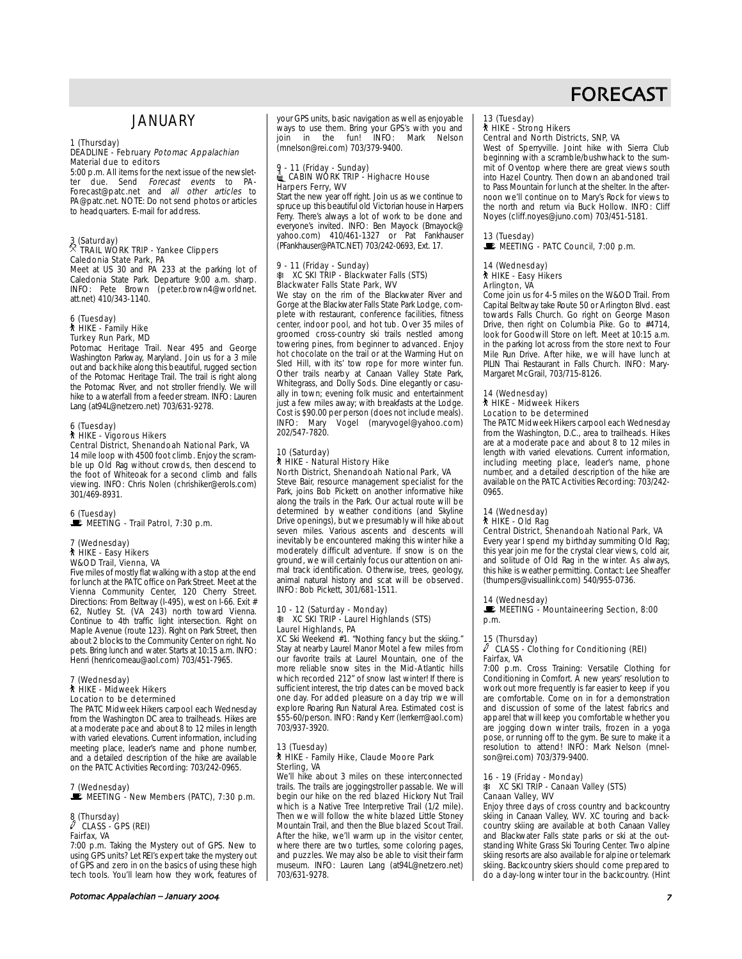# **JANUARY**

#### 1 (Thursday) DEADLINE - February Potomac Appalachian Material due to editors

5:00 p.m. All items for the next issue of the newsletter due. Send *Forecast events* to PA-Forecast@patc.net and all other articles to PA@patc.net. NOTE: Do not send photos or articles to headquarters. E-mail for address.

# 3 (Saturday) . TRAIL WORK TRIP - Yankee Clippers Caledonia State Park, PA

Meet at US 30 and PA 233 at the parking lot of Caledonia State Park. Departure 9:00 a.m. sharp. INFO: Pete Brown (peter.brown4@worldnet. att.net) 410/343-1140.

#### 6 (Tuesday) ` HIKE - Family Hike Turkey Run Park, MD

Potomac Heritage Trail. Near 495 and George Washington Parkway, Maryland. Join us for a 3 mile out and back hike along this beautiful, rugged section of the Potomac Heritage Trail. The trail is right along the Potomac River, and not stroller friendly. We will hike to a waterfall from a feeder stream. INFO: Lauren Lang (at94L@netzero.net) 703/631-9278.

# 6 (Tuesday) ` HIKE - Vigorous Hikers

Central District, Shenandoah National Park, VA

14 mile loop with 4500 foot climb. Enjoy the scramble up Old Rag without crowds, then descend to the foot of Whiteoak for a second climb and falls viewing. INFO: Chris Nolen (chrishiker@erols.com) 301/469-8931.

### 6 (Tuesday) MEETING - Trail Patrol, 7:30 p.m.

# 7 (Wednesday) ` HIKE - Easy Hikers W&OD Trail, Vienna, VA

Five miles of mostly flat walking with a stop at the end for lunch at the PATC office on Park Street. Meet at the Vienna Community Center, 120 Cherry Street. Directions: From Beltway (I-495), west on I-66. Exit # 62, Nutley St. (VA 243) north toward Vienna. Continue to 4th traffic light intersection. Right on Maple Avenue (route 123). Right on Park Street, then about 2 blocks to the Community Center on right. No pets. Bring lunch and water. Starts at 10:15 a.m. INFO: Henri (henricomeau@aol.com) 703/451-7965.

### 7 (Wednesday) ` HIKE - Midweek Hikers

Location to be determined The PATC Midweek Hikers carpool each Wednesday from the Washington DC area to trailheads. Hikes are at a moderate pace and about 8 to 12 miles in length with varied elevations. Current information, including meeting place, leader's name and phone number, and a detailed description of the hike are available

### on the PATC Activities Recording: 703/242-0965. 7 (Wednesday)  $\mathbb{R}$  MEETING - New Members (PATC), 7:30 p.m.

# 8 (Thursday) a CLASS - GPS (REI) Fairfax, VA

7:00 p.m. Taking the Mystery out of GPS. New to using GPS units? Let REI's expert take the mystery out of GPS and zero in on the basics of using these high tech tools. You'll learn how they work, features of your GPS units, basic navigation as well as enjoyable ways to use them. Bring your GPS's with you and<br>join in the fun! INFO: Mark Nelson  $\overline{1}$  in the fun!  $\overline{1}$  INFO: (mnelson@rei.com) 703/379-9400.

# 9 - 11 (Friday - Sunday)<br>▒ CABIN WORK TRIP - Highacre House Harpers Ferry, WV

Start the new year off right. Join us as we continue to spruce up this beautiful old Victorian house in Harpers Ferry. There's always a lot of work to be done and everyone's invited. INFO: Ben Mayock (Bmayock@ yahoo.com) 410/461-1327 or Pat Fankhauser (PFankhauser@PATC.NET) 703/242-0693, Ext. 17.

#### 9 - 11 (Friday - Sunday) **XC SKI TRIP - Blackwater Falls (STS)** Blackwater Falls State Park, WV

We stay on the rim of the Blackwater River and Gorge at the Blackwater Falls State Park Lodge, complete with restaurant, conference facilities, fitness center, indoor pool, and hot tub. Over 35 miles of groomed cross-country ski trails nestled among towering pines, from beginner to advanced. Enjoy hot chocolate on the trail or at the Warming Hut on Sled Hill, with its' tow rope for more winter fun. Other trails nearby at Canaan Valley State Park, Whitegrass, and Dolly Sods. Dine elegantly or casually in town; evening folk music and entertainment just a few miles away; with breakfasts at the Lodge. Cost is \$90.00 per person (does not include meals). Vogel (maryvogel@yahoo.com) INFO: Mary<br>202/547-7820.

#### 10 (Saturday) **\*\*\*** HIKE - Natural History Hike North District, Shenandoah National Park, VA

Steve Bair, resource management specialist for the Park, joins Bob Pickett on another informative hike along the trails in the Park. Our actual route will be determined by weather conditions (and Skyline Drive openings), but we presumably will hike about seven miles. Various ascents and descents will inevitably be encountered making this winter hike a moderately difficult adventure. If snow is on the ground, we will certainly focus our attention on animal track identification. Otherwise, trees, geology, animal natural history and scat will be observed. INFO: Bob Pickett, 301/681-1511.

#### 10 - 12 (Saturday - Monday) **K XC SKI TRIP - Laurel Highlands (STS)** Laurel Highlands, PA

XC Ski Weekend #1. "Nothing fancy but the skiing." Stay at nearby Laurel Manor Motel a few miles from our favorite trails at Laurel Mountain, one of the more reliable snow sites in the Mid-Atlantic hills which recorded 212" of snow last winter! If there is sufficient interest, the trip dates can be moved back one day. For added pleasure on a day trip we will explore Roaring Run Natural Area. Estimated cost is \$55-60/person. INFO: Randy Kerr (lerrkerr@aol.com) 703/937-3920.

#### 13 (Tuesday) ` HIKE - Family Hike, Claude Moore Park Sterling, VA

We'll hike about 3 miles on these interconnected trails. The trails are joggingstroller passable. We will begin our hike on the red blazed Hickory Nut Trail which is a Native Tree Interpretive Trail (1/2 mile). Then we will follow the white blazed Little Stoney Mountain Trail, and then the Blue blazed Scout Trail. After the hike, we'll warm up in the visitor center, where there are two turtles, some coloring pages, and puzzles. We may also be able to visit their farm museum. INFO: Lauren Lang (at94L@netzero.net) 703/631-9278.

# FORECAST

# 13 (Tuesday)

#### ` HIKE - Strong Hikers Central and North Districts, SNP, VA

West of Sperryville. Joint hike with Sierra Club beginning with a scramble/bushwhack to the sum-**Examing 1100 Product** there are great views south into Hazel Country. Then down an abandoned trail to Pass Mountain for lunch at the shelter. In the afternoon we'll continue on to Mary's Rock for views to the north and return via Buck Hollow. INFO: Cliff Noyes (cliff.noyes@juno.com) 703/451-5181.

### 13 (Tuesday)

# $\mathbb E$  MEETING - PATC Council, 7:00 p.m.

#### 14 (Wednesday) ` HIKE - Easy Hikers

### Arlington, VA

Come join us for 4-5 miles on the W&OD Trail. From Capital Beltway take Route 50 or Arlington Blvd. east towards Falls Church. Go right on George Mason Drive, then right on Columbia Pike. Go to #4714, look for Goodwill Store on left. Meet at 10:15 a.m. in the parking lot across from the store next to Four Mile Run Drive. After hike, we will have lunch at PILIN Thai Restaurant in Falls Church. INFO: Mary-Margaret McGrail, 703/715-8126.

#### 14 (Wednesday)

#### ` HIKE - Midweek Hikers Location to be determined

The PATC Midweek Hikers carpool each Wednesday from the Washington, D.C., area to trailheads. Hikes are at a moderate pace and about 8 to 12 miles in length with varied elevations. Current information, including meeting place, leader's name, phone number, and a detailed description of the hike are available on the PATC Activities Recording: 703/242- 0965.

### 14 (Wednesday)

# ` HIKE - Old Rag

Central District, Shenandoah National Park, VA Every year I spend my birthday summiting Old Rag; this year join me for the crystal clear views, cold air, and solitude of Old Rag in the winter. As always, this hike is weather permitting. Contact: Lee Sheaffer (thumpers@visuallink.com) 540/955-0736.

### 14 (Wednesday)

 $\mathbb E$  MEETING - Mountaineering Section, 8:00 p.m.

# 15 (Thursday)

#### $\ell$  CLASS - Clothing for Conditioning (REI) Fairfax, VA

7:00 p.m. Cross Training: Versatile Clothing for Conditioning in Comfort. A new years' resolution to work out more frequently is far easier to keep if you are comfortable. Come on in for a demonstration and discussion of some of the latest fabrics and apparel that will keep you comfortable whether you are jogging down winter trails, frozen in a yoga pose, or running off to the gym. Be sure to make it a resolution to attend! INFO: Mark Nelson (mnelson@rei.com) 703/379-9400.

#### 16 - 19 (Friday - Monday) **K XC SKI TRIP - Canaan Valley (STS)** Canaan Valley, WV

Enjoy three days of cross country and backcountry skiing in Canaan Valley, WV. XC touring and backcountry skiing are available at both Canaan Valley and Blackwater Falls state parks or ski at the outstanding White Grass Ski Touring Center. Two alpine skiing resorts are also available for alpine or telemark skiing. Backcountry skiers should come prepared to do a day-long winter tour in the backcountry. (Hint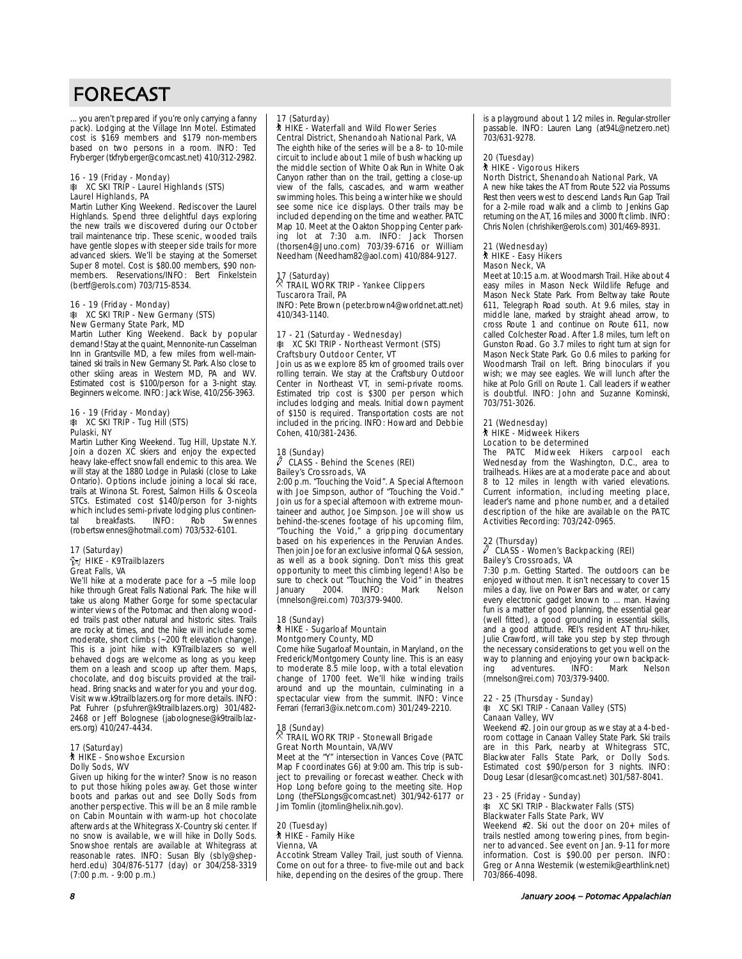... you aren't prepared if you're only carrying a fanny pack). Lodging at the Village Inn Motel. Estimated cost is \$169 members and \$179 non-members based on two persons in a room. INFO: Ted Fryberger (tkfryberger@comcast.net) 410/312-2982.

#### 16 - 19 (Friday - Monday) **K XC SKI TRIP - Laurel Highlands (STS)** Laurel Highlands, PA

Martin Luther King Weekend. Rediscover the Laurel Highlands. Spend three delightful days exploring the new trails we discovered during our October trail maintenance trip. These scenic, wooded trails have gentle slopes with steeper side trails for more advanced skiers. We'll be staying at the Somerset Super 8 motel. Cost is \$80.00 members, \$90 nonmembers. Reservations/INFO: Bert Finkelstein (bertf@erols.com) 703/715-8534.

#### 16 - 19 (Friday - Monday) **K XC SKI TRIP - New Germany (STS)** New Germany State Park, MD

Martin Luther King Weekend. Back by popular demand! Stay at the quaint, Mennonite-run Casselman Inn in Grantsville MD, a few miles from well-maintained ski trails in New Germany St. Park. Also close to other skiing areas in Western MD, PA and WV. Estimated cost is \$100/person for a 3-night stay. Beginners welcome. INFO: Jack Wise, 410/256-3963.

#### 16 - 19 (Friday - Monday)  $*$  XC SKI TRIP - Tug Hill (STS) Pulaski, NY

Martin Luther King Weekend. Tug Hill, Upstate N.Y. Join a dozen XC skiers and enjoy the expected heavy lake-effect snowfall endemic to this area. We will stay at the 1880 Lodge in Pulaski (close to Lake Ontario). Options include joining a local ski race, trails at Winona St. Forest, Salmon Hills & Osceola STCs. Estimated cost \$140/person for 3-nights which includes semi-private lodging plus continen-<br>tal breakfasts. INFO: Rob Swennes tal breakfasts. INFO: Rob Swennes (robertswennes@hotmail.com) 703/532-6101.

#### 17 (Saturday)  $\approx$  HIKE - K9Trailblazers Great Falls, VA

We'll hike at a moderate pace for a ~5 mile loop hike through Great Falls National Park. The hike will take us along Mather Gorge for some spectacular winter views of the Potomac and then along wooded trails past other natural and historic sites. Trails are rocky at times, and the hike will include some moderate, short climbs (~200 ft elevation change). This is a joint hike with K9Trailblazers so well behaved dogs are welcome as long as you keep them on a leash and scoop up after them. Maps, chocolate, and dog biscuits provided at the trailhead. Bring snacks and water for you and your dog. Visit www.k9trailblazers.org for more details. INFO: Pat Fuhrer (psfuhrer@k9trailblazers.org) 301/482- 2468 or Jeff Bolognese (jabolognese@k9trailblazers.org) 410/247-4434.

#### 17 (Saturday) ` HIKE - Snowshoe Excursion Dolly Sods, WV

Given up hiking for the winter? Snow is no reason to put those hiking poles away. Get those winter boots and parkas out and see Dolly Sods from another perspective. This will be an 8 mile ramble on Cabin Mountain with warm-up hot chocolate afterwards at the Whitegrass X-Country ski center. If no snow is available, we will hike in Dolly Sods. Snowshoe rentals are available at Whitegrass at reasonable rates. INFO: Susan Bly (sbly@shepherd.edu) 304/876-5177 (day) or 304/258-3319 (7:00 p.m. - 9:00 p.m.)

### 17 (Saturday)

#### ` HIKE - Waterfall and Wild Flower Series Central District, Shenandoah National Park, VA

The eighth hike of the series will be a 8- to 10-mile circuit to include about 1 mile of bush whacking up the middle section of White Oak Run in White Oak Canyon rather than on the trail, getting a close-up view of the falls, cascades, and warm weather swimming holes. This being a winter hike we should see some nice ice displays. Other trails may be included depending on the time and weather. PATC Map 10. Meet at the Oakton Shopping Center parking lot at 7:30 a.m. INFO: Jack Thorsen (thorsen4@Juno.com) 703/39-6716 or William Needham (Needham82@aol.com) 410/884-9127.

# 17 (Saturday) . TRAIL WORK TRIP - Yankee Clippers Tuscarora Trail, PA

INFO: Pete Brown (peter.brown4@worldnet.att.net) 410/343-1140.

#### 17 - 21 (Saturday - Wednesday) **K XC SKI TRIP - Northeast Vermont (STS)** Craftsbury Outdoor Center, VT

Join us as we explore 85 km of groomed trails over rolling terrain. We stay at the Craftsbury Outdoor Center in Northeast VT, in semi-private rooms. Estimated trip cost is \$300 per person which includes lodging and meals. Initial down payment of \$150 is required. Transportation costs are not included in the pricing. INFO: Howard and Debbie Cohen, 410/381-2436.

#### 18 (Sunday)  $\sqrt{2}$  CLASS - Behind the Scenes (REI) Bailey's Crossroads, VA

2:00 p.m. "Touching the Void". A Special Afternoon with Joe Simpson, author of "Touching the Void." Join us for a special afternoon with extreme mountaineer and author, Joe Simpson. Joe will show us behind-the-scenes footage of his upcoming film, "Touching the Void," a gripping documentary based on his experiences in the Peruvian Andes. Then join Joe for an exclusive informal Q&A session, as well as a book signing. Don't miss this great opportunity to meet this climbing legend! Also be sure to check out "Touching the Void" in theatres<br>January 2004. INFO: Mark Nelson January (mnelson@rei.com) 703/379-9400.

#### 18 (Sunday) ` HIKE - Sugarloaf Mountain Montgomery County, MD

Come hike Sugarloaf Mountain, in Maryland, on the Frederick/Montgomery County line. This is an easy to moderate 8.5 mile loop, with a total elevation change of 1700 feet. We'll hike winding trails around and up the mountain, culminating in a spectacular view from the summit. INFO: Vince Ferrari (ferrari3@ix.netcom.com) 301/249-2210.

# 18 (Sunday) . TRAIL WORK TRIP - Stonewall Brigade Great North Mountain, VA/WV

Meet at the "Y" intersection in Vances Cove (PATC Map F coordinates G6) at 9:00 am. This trip is subject to prevailing or forecast weather. Check with Hop Long before going to the meeting site. Hop Long (theFSLongs@comcast.net) 301/942-6177 or Jim Tomlin (jtomlin@helix.nih.gov).

#### 20 (Tuesday) ` HIKE - Family Hike Vienna, VA

Accotink Stream Valley Trail, just south of Vienna. Come on out for a three- to five-mile out and back hike, depending on the desires of the group. There is a playground about 1 1⁄2 miles in. Regular-stroller passable. INFO: Lauren Lang (at94L@netzero.net) .<br>703/631-9278.

### 20 (Tuesday)

#### ` HIKE - Vigorous Hikers North District, Shenandoah National Park, VA

A new hike takes the AT from Route 522 via Possums Rest then veers west to descend Lands Run Gap Trail for a 2-mile road walk and a climb to Jenkins Gap returning on the AT, 16 miles and 3000 ft climb. INFO: Chris Nolen (chrishiker@erols.com) 301/469-8931.

# 21 (Wednesday) ` HIKE - Easy Hikers Mason Neck, VA

Meet at 10:15 a.m. at Woodmarsh Trail. Hike about 4 easy miles in Mason Neck Wildlife Refuge and Mason Neck State Park. From Beltway take Route 611, Telegraph Road south. At 9.6 miles, stay in middle lane, marked by straight ahead arrow, to cross Route 1 and continue on Route 611, now called Colchester Road. After 1.8 miles, turn left on Gunston Road. Go 3.7 miles to right turn at sign for Mason Neck State Park. Go 0.6 miles to parking for Woodmarsh Trail on left. Bring binoculars if you wish; we may see eagles. We will lunch after the hike at Polo Grill on Route 1. Call leaders if weather is doubtful. INFO: John and Suzanne Kominski, 703/751-3026.

#### 21 (Wednesday)

# **A** HIKE - Midweek Hikers

### Location to be determined

The PATC Midweek Hikers carpool each Wednesday from the Washington, D.C., area to trailheads. Hikes are at a moderate pace and about 8 to 12 miles in length with varied elevations. Current information, including meeting place, leader's name and phone number, and a detailed description of the hike are available on the PATC Activities Recording: 703/242-0965.

#### 22 (Thursday)

#### a CLASS - Women's Backpacking (REI) Bailey's Crossroads, VA

7:30 p.m. Getting Started. The outdoors can be enjoyed without men. It isn't necessary to cover 15 miles a day, live on Power Bars and water, or carry every electronic gadget known to ... man. Having fun is a matter of good planning, the essential gear (well fitted), a good grounding in essential skills, and a good attitude. REI's resident AT thru-hiker, Julie Crawford, will take you step by step through the necessary considerations to get you well on the way to planning and enjoying your own backpack-<br>ing adventures. INFO: Mark Nelson ing adventures. (mnelson@rei.com) 703/379-9400.

# 22 - 25 (Thursday - Sunday) A XC SKI TRIP - Canaan Valley (STS) Canaan Valley, WV

Weekend #2. Join our group as we stay at a 4-bedroom cottage in Canaan Valley State Park. Ski trails are in this Park, nearby at Whitegrass STC, Blackwater Falls State Park, or Dolly Sods. Estimated cost \$90/person for 3 nights. INFO: Doug Lesar (dlesar@comcast.net) 301/587-8041.

# 23 - 25 (Friday - Sunday) A XC SKI TRIP - Blackwater Falls (STS) Blackwater Falls State Park, WV

Weekend #2. Ski out the door on 20+ miles of trails nestled among towering pines, from beginner to advanced. See event on Jan. 9-11 for more information. Cost is \$90.00 per person. INFO: Greg or Anna Westernik (westernik@earthlink.net) 703/866-4098.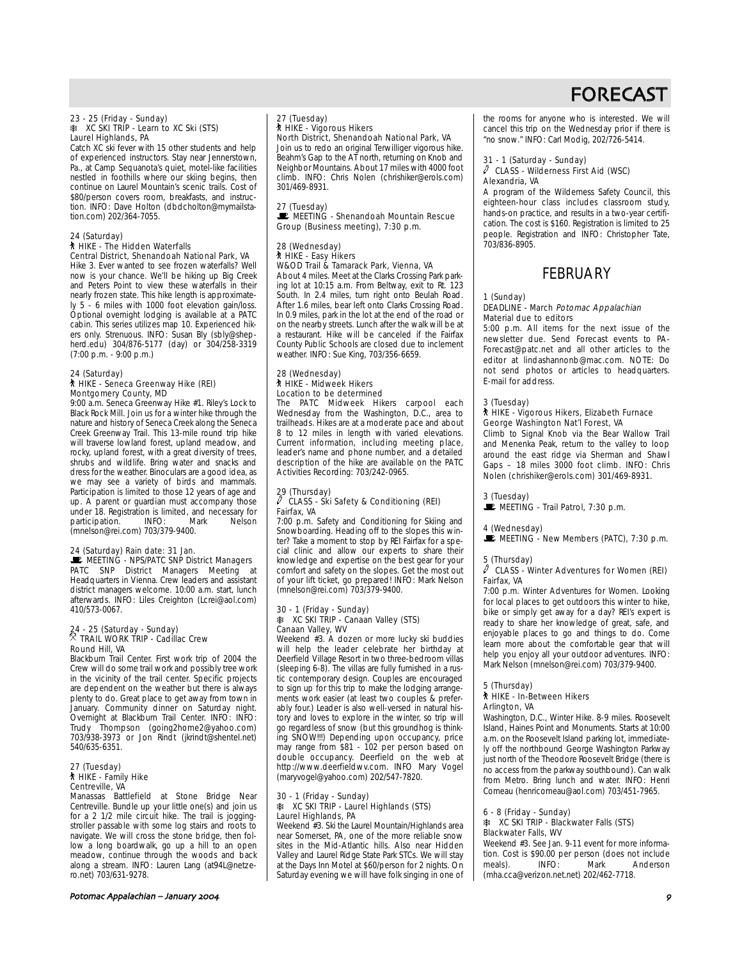# 23 - 25 (Friday - Sunday) A XC SKI TRIP - Learn to XC Ski (STS) Laurel Highlands, PA

Catch XC ski fever with 15 other students and help of experienced instructors. Stay near Jennerstown, Pa., at Camp Sequanota's quiet, motel-like facilities nestled in foothills where our skiing begins, then continue on Laurel Mountain's scenic trails. Cost of \$80/person covers room, breakfasts, and instruction. INFO: Dave Holton (dbdcholton@mymailstation.com) 202/364-7055.

#### 24 (Saturday) ` HIKE - The Hidden Waterfalls Central District, Shenandoah National Park, VA

Hike 3. Ever wanted to see frozen waterfalls? Well now is your chance. We'll be hiking up Big Creek and Peters Point to view these waterfalls in their nearly frozen state. This hike length is approximately 5 - 6 miles with 1000 foot elevation gain/loss. Optional overnight lodging is available at a PATC cabin. This series utilizes map 10. Experienced hikers only. Strenuous. INFO: Susan Bly (sbly@shepherd.edu) 304/876-5177 (day) or 304/258-3319 (7:00 p.m. - 9:00 p.m.)

#### 24 (Saturday) ` HIKE - Seneca Greenway Hike (REI) Montgomery County, MD

9:00 a.m. Seneca Greenway Hike #1. Riley's Lock to Black Rock Mill. Join us for a winter hike through the nature and history of Seneca Creek along the Seneca Creek Greenway Trail. This 13-mile round trip hike will traverse lowland forest, upland meadow, and rocky, upland forest, with a great diversity of trees, shrubs and wildlife. Bring water and snacks and dress for the weather. Binoculars are a good idea, as we may see a variety of birds and mammals. Participation is limited to those 12 years of age and up. A parent or guardian must accompany those under 18. Registration is limited, and necessary for<br>participation. INFO: Mark Nelson participation. (mnelson@rei.com) 703/379-9400.

### 24 (Saturday) Rain date: 31 Jan.

MEETING - NPS/PATC SNP District Managers PATC SNP District Managers Meeting at Headquarters in Vienna. Crew leaders and assistant district managers welcome. 10:00 a.m. start, lunch afterwards. INFO: Liles Creighton (Lcrei@aol.com) 410/573-0067.

# 24 - 25 (Saturday - Sunday)<br><sup>X</sup> TRAIL WORK TRIP - Cadillac Crew Round Hill, VA

Blackburn Trail Center. First work trip of 2004 the Crew will do some trail work and possibly tree work in the vicinity of the trail center. Specific projects are dependent on the weather but there is always plenty to do. Great place to get away from town in January. Community dinner on Saturday night. Overnight at Blackburn Trail Center. INFO: INFO: Trudy Thompson (going2home2@yahoo.com) 703/938-3973 or Jon Rindt (jkrindt@shentel.net) 540/635-6351.

#### 27 (Tuesday) ` HIKE - Family Hike Centreville, VA

Manassas Battlefield at Stone Bridge Near Centreville. Bundle up your little one(s) and join us for a 2 1/2 mile circuit hike. The trail is joggingstroller passable with some log stairs and roots to navigate. We will cross the stone bridge, then follow a long boardwalk, go up a hill to an open meadow, continue through the woods and back along a stream. INFO: Lauren Lang (at94L@netzero.net) 703/631-9278.

#### Potomac Appalachian – January /

#### 27 (Tuesday) ` HIKE - Vigorous Hikers

North District, Shenandoah National Park, VA Join us to redo an original Terwilliger vigorous hike. Beahm's Gap to the AT north, returning on Knob and Neighbor Mountains. About 17 miles with 4000 foot climb. INFO: Chris Nolen (chrishiker@erols.com) 301/469-8931.

#### 27 (Tuesday)

MEETING - Shenandoah Mountain Rescue Group (Business meeting), 7:30 p.m.

# 28 (Wednesday) ` HIKE - Easy Hikers W&OD Trail & Tamarack Park, Vienna, VA

About 4 miles. Meet at the Clarks Crossing Park parking lot at 10:15 a.m. From Beltway, exit to Rt. 123 South. In 2.4 miles, turn right onto Beulah Road. After 1.6 miles, bear left onto Clarks Crossing Road. In 0.9 miles, park in the lot at the end of the road or on the nearby streets. Lunch after the walk will be at a restaurant. Hike will be canceled if the Fairfax County Public Schools are closed due to inclement weather. INFO: Sue King, 703/356-6659.

#### 28 (Wednesday) ` HIKE - Midweek Hikers Location to be determined

The PATC Midweek Hikers carpool each Wednesday from the Washington, D.C., area to trailheads. Hikes are at a moderate pace and about 8 to 12 miles in length with varied elevations. Current information, including meeting place, leader's name and phone number, and a detailed description of the hike are available on the PATC Activities Recording: 703/242-0965.

#### 29 (Thursday) a CLASS - Ski Safety & Conditioning (REI) Fairfax, VA

7:00 p.m. Safety and Conditioning for Skiing and Snowboarding. Heading off to the slopes this winter? Take a moment to stop by REI Fairfax for a special clinic and allow our experts to share their knowledge and expertise on the best gear for your comfort and safety on the slopes. Get the most out of your lift ticket, go prepared! INFO: Mark Nelson (mnelson@rei.com) 703/379-9400.

#### 30 - 1 (Friday - Sunday) **A XC SKI TRIP - Canaan Valley (STS)** Canaan Valley, WV

Weekend #3. A dozen or more lucky ski buddies will help the leader celebrate her birthday at Deerfield Village Resort in two three-bedroom villas (sleeping 6-8). The villas are fully furnished in a rustic contemporary design. Couples are encouraged to sign up for this trip to make the lodging arrangements work easier (at least two couples & preferably four.) Leader is also well-versed in natural history and loves to explore in the winter, so trip will go regardless of snow (but this groundhog is thinking SNOW!!!) Depending upon occupancy, price may range from \$81 - 102 per person based on double occupancy. Deerfield on the web at http://www.deerfieldwv.com. INFO Mary Vogel (maryvogel@yahoo.com) 202/547-7820.

## 30 - 1 (Friday - Sunday) A XC SKI TRIP - Laurel Highlands (STS) Laurel Highlands, PA

Weekend #3. Ski the Laurel Mountain/Highlands area near Somerset, PA, one of the more reliable snow sites in the Mid-Atlantic hills. Also near Hidden Valley and Laurel Ridge State Park STCs. We will stay at the Days Inn Motel at \$60/person for 2 nights. On Saturday evening we will have folk singing in one of the rooms for anyone who is interested. We will cancel this trip on the Wednesday prior if there is "no snow." INFO: Carl Modig, 202/726-5414.

#### 31 - 1 (Saturday - Sunday)  $\ell$  CLASS - Wilderness First Aid (WSC) Alexandria, VA

A program of the Wilderness Safety Council, this eighteen-hour class includes classroom study, hands-on practice, and results in a two-year certification. The cost is \$160. Registration is limited to 25 people. Registration and INFO: Christopher Tate, 703/836-8905.

# **FEBRUARY**

#### 1 (Sunday)

#### DEADLINE - March Potomac Appalachian Material due to editors

5:00 p.m. All items for the next issue of the newsletter due. Send Forecast events to PA-Forecast@patc.net and all other articles to the editor at lindashannonb@mac.com. NOTE: Do not send photos or articles to headquarters. E-mail for address.

#### 3 (Tuesday)

#### ` HIKE - Vigorous Hikers, Elizabeth Furnace George Washington Nat'l Forest, VA

Climb to Signal Knob via the Bear Wallow Trail and Menenka Peak, return to the valley to loop around the east ridge via Sherman and Shawl Gaps – 18 miles 3000 foot climb. INFO: Chris Nolen (chrishiker@erols.com) 301/469-8931.

#### 3 (Tuesday)

# $\blacksquare$  MEETING - Trail Patrol, 7:30 p.m.

#### 4 (Wednesday)

 $\mathbf{\mathbb{E}}$  MEETING - New Members (PATC), 7:30 p.m.

#### 5 (Thursday)

#### $\ell$  CLASS - Winter Adventures for Women (REI) Fairfax, VA

7:00 p.m. Winter Adventures for Women. Looking for local places to get outdoors this winter to hike, bike or simply get away for a day? REI's expert is ready to share her knowledge of great, safe, and enjoyable places to go and things to do. Come learn more about the comfortable gear that will help you enjoy all your outdoor adventures. INFO: Mark Nelson (mnelson@rei.com) 703/379-9400.

### 5 (Thursday)

#### ` HIKE - In-Between Hikers Arlington, VA

Washington, D.C., Winter Hike. 8-9 miles. Roosevelt Island, Haines Point and Monuments. Starts at 10:00 a.m. on the Roosevelt Island parking lot, immediately off the northbound George Washington Parkway just north of the Theodore Roosevelt Bridge (there is no access from the parkway southbound). Can walk from Metro. Bring lunch and water. INFO: Henri Comeau (henricomeau@aol.com) 703/451-7965.

#### 6 - 8 (Friday - Sunday) **A XC SKI TRIP - Blackwater Falls (STS)** Blackwater Falls, WV

Weekend #3. See Jan. 9-11 event for more information. Cost is \$90.00 per person (does not include meals). INFO: Mark Anderson Mark Anderson (mha.cca@verizon.net.net) 202/462-7718.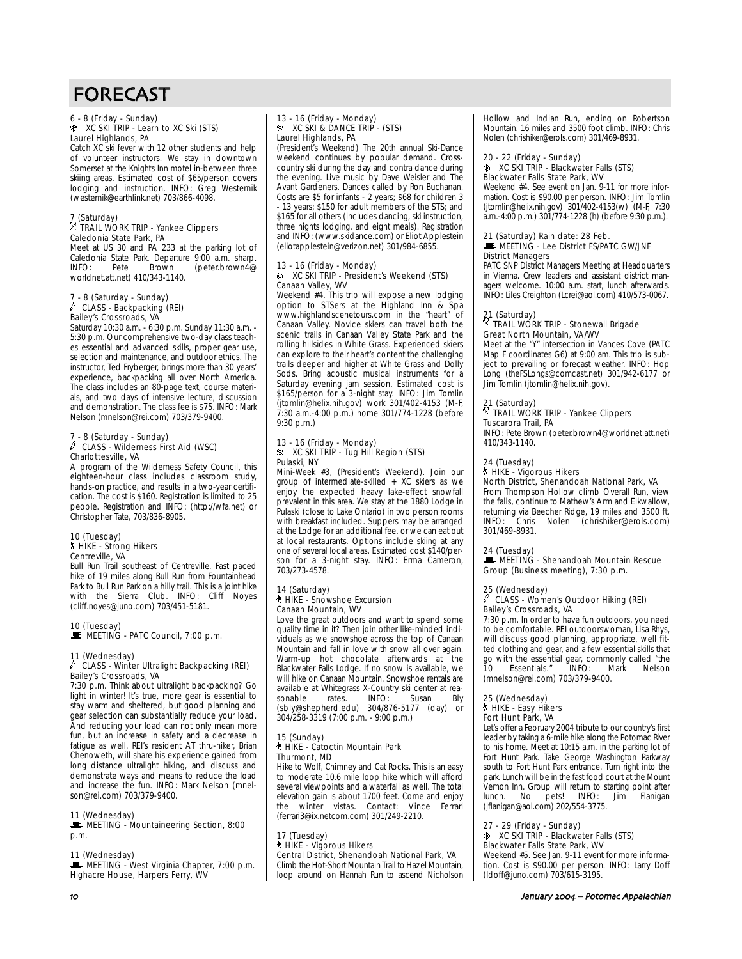# 6 - 8 (Friday - Sunday) A XC SKI TRIP - Learn to XC Ski (STS) Laurel Highlands, PA

Catch XC ski fever with 12 other students and help of volunteer instructors. We stay in downtown Somerset at the Knights Inn motel in-between three skiing areas. Estimated cost of \$65/person covers lodging and instruction. INFO: Greg Westernik (westernik@earthlink.net) 703/866-4098.

# 7 (Saturday) . TRAIL WORK TRIP - Yankee Clippers

### Caledonia State Park, PA

Meet at US 30 and PA 233 at the parking lot of Caledonia State Park. Departure 9:00 a.m. sharp.<br>INFO: Pete Brown (peter.brown4@ (peter.brown4@ worldnet.att.net) 410/343-1140.

# 7 - 8 (Saturday - Sunday) a CLASS - Backpacking (REI) Bailey's Crossroads, VA

Saturday 10:30 a.m. - 6:30 p.m. Sunday 11:30 a.m. - 5:30 p.m. Our comprehensive two-day class teaches essential and advanced skills, proper gear use, selection and maintenance, and outdoor ethics. The instructor, Ted Fryberger, brings more than 30 years' experience, backpacking all over North America. The class includes an 80-page text, course materials, and two days of intensive lecture, discussion and demonstration. The class fee is \$75. INFO: Mark Nelson (mnelson@rei.com) 703/379-9400.

# 7 - 8 (Saturday - Sunday) a CLASS - Wilderness First Aid (WSC) Charlottesville, VA

A program of the Wilderness Safety Council, this eighteen-hour class includes classroom study, hands-on practice, and results in a two-year certification. The cost is \$160. Registration is limited to 25 people. Registration and INFO: (http://wfa.net) or Christopher Tate, 703/836-8905.

#### 10 (Tuesday) ` HIKE - Strong Hikers Centreville, VA

Bull Run Trail southeast of Centreville. Fast paced hike of 19 miles along Bull Run from Fountainhead Park to Bull Run Park on a hilly trail. This is a joint hike with the Sierra Club. INFO: Cliff Noyes (cliff.noyes@juno.com) 703/451-5181.

#### 10 (Tuesday)

MEETING - PATC Council, 7:00 p.m.

#### 11 (Wednesday) a CLASS - Winter Ultralight Backpacking (REI) Bailey's Crossroads, VA

7:30 p.m. Think about ultralight backpacking? Go light in winter! It's true, more gear is essential to stay warm and sheltered, but good planning and gear selection can substantially reduce your load. And reducing your load can not only mean more fun, but an increase in safety and a decrease in fatigue as well. REI's resident AT thru-hiker, Brian Chenoweth, will share his experience gained from long distance ultralight hiking, and discuss and demonstrate ways and means to reduce the load and increase the fun. INFO: Mark Nelson (mnelson@rei.com) 703/379-9400.

#### 11 (Wednesday)

**WE MEETING - Mountaineering Section, 8:00** p.m.

### 11 (Wednesday)

MEETING - West Virginia Chapter, 7:00 p.m. Highacre House, Harpers Ferry, WV

#### 13 - 16 (Friday - Monday)  $\ast$  XC SKI & DANCE TRIP - (STS) Laurel Highlands, PA

(President's Weekend) The 20th annual Ski-Dance weekend continues by popular demand. Crosscountry ski during the day and contra dance during the evening. Live music by Dave Weisler and The Avant Gardeners. Dances called by Ron Buchanan. Costs are \$5 for infants - 2 years; \$68 for children 3 - 13 years; \$150 for adult members of the STS; and \$165 for all others (includes dancing, ski instruction, three nights lodging, and eight meals). Registration and INFO: (www.skidance.com) or Eliot Applestein (eliotapplestein@verizon.net) 301/984-6855.

#### 13 - 16 (Friday - Monday) A XC SKI TRIP - President's Weekend (STS) Canaan Valley, WV

Weekend #4. This trip will expose a new lodging option to STSers at the Highland Inn & Spa www.highlandscenetours.com in the "heart" of Canaan Valley. Novice skiers can travel both the scenic trails in Canaan Valley State Park and the rolling hillsides in White Grass. Experienced skiers can explore to their heart's content the challenging trails deeper and higher at White Grass and Dolly Sods. Bring acoustic musical instruments for a Saturday evening jam session. Estimated cost is \$165/person for a 3-night stay. INFO: Jim Tomlin (jtomlin@helix.nih.gov) work 301/402-4153 (M-F, 7:30 a.m.-4:00 p.m.) home 301/774-1228 (before 9:30 p.m.)

# 13 - 16 (Friday - Monday) A XC SKI TRIP - Tug Hill Region (STS) Pulaski, NY

Mini-Week #3, (President's Weekend). Join our group of intermediate-skilled + XC skiers as we enjoy the expected heavy lake-effect snowfall prevalent in this area. We stay at the 1880 Lodge in Pulaski (close to Lake Ontario) in two person rooms with breakfast included. Suppers may be arranged at the Lodge for an additional fee, or we can eat out at local restaurants. Options include skiing at any one of several local areas. Estimated cost \$140/person for a 3-night stay. INFO: Erma Cameron, 703/273-4578.

# 14 (Saturday) ` HIKE - Snowshoe Excursion Canaan Mountain, WV

Love the great outdoors and want to spend some quality time in it? Then join other like-minded individuals as we snowshoe across the top of Canaan Mountain and fall in love with snow all over again. Warm-up hot chocolate afterwards at the Blackwater Falls Lodge. If no snow is available, we will hike on Canaan Mountain. Snowshoe rentals are available at Whitegrass X-Country ski center at reasonable rates. INFO: Susan Bly (sbly@shepherd.edu) 304/876-5177 (day) or 304/258-3319 (7:00 p.m. - 9:00 p.m.)

# 15 (Sunday)<br>┆ HIKE - Catoctin Mountain Park Thurmont, MD

Hike to Wolf, Chimney and Cat Rocks. This is an easy to moderate 10.6 mile loop hike which will afford several viewpoints and a waterfall as well. The total elevation gain is about 1700 feet. Come and enjoy the winter vistas. Contact: Vince Ferrari (ferrari3@ix.netcom.com) 301/249-2210.

#### 17 (Tuesday) ` HIKE - Vigorous Hikers Central District, Shenandoah National Park, VA

Climb the Hot-Short Mountain Trail to Hazel Mountain, loop around on Hannah Run to ascend Nicholson Hollow and Indian Run, ending on Robertson Mountain. 16 miles and 3500 foot climb. INFO: Chris Nolen (chrishiker@erols.com) 301/469-8931.

#### 20 - 22 (Friday - Sunday) **A XC SKI TRIP - Blackwater Falls (STS)** Blackwater Falls State Park, WV

Weekend #4. See event on Jan. 9-11 for more information. Cost is \$90.00 per person. INFO: Jim Tomlin (jtomlin@helix.nih.gov) 301/402-4153(w) (M-F, 7:30 a.m.-4:00 p.m.) 301/774-1228 (h) (before 9:30 p.m.).

#### 21 (Saturday) Rain date: 28 Feb.  $\blacksquare$  MEETING - Lee District FS/PATC GW/JNF

District Managers PATC SNP District Managers Meeting at Headquarters

in Vienna. Crew leaders and assistant district managers welcome. 10:00 a.m. start, lunch afterwards. INFO: Liles Creighton (Lcrei@aol.com) 410/573-0067.

# 21 (Saturday) . TRAIL WORK TRIP - Stonewall Brigade Great North Mountain, VA/WV

Meet at the "Y" intersection in Vances Cove (PATC Map F coordinates G6) at 9:00 am. This trip is subject to prevailing or forecast weather. INFO: Hop Long (theFSLongs@comcast.net) 301/942-6177 or Jim Tomlin (jtomlin@helix.nih.gov).

# 21 (Saturday) . TRAIL WORK TRIP - Yankee Clippers Tuscarora Trail, PA

INFO: Pete Brown (peter.brown4@worldnet.att.net) 410/343-1140.

# 24 (Tuesday)<br>┆ HIKE - Vigorous Hikers

North District, Shenandoah National Park, VA

From Thompson Hollow climb Overall Run, view the falls, continue to Mathew's Arm and Elkwallow, returning via Beecher Ridge, 19 miles and 3500 ft. INFO: Chris Nolen (chrishiker@erols.com) 301/469-8931.

### 24 (Tuesday)

**WEETING - Shenandoah Mountain Rescue** Group (Business meeting), 7:30 p.m.

# 25 (Wednesday) a CLASS - Women's Outdoor Hiking (REI) Bailey's Crossroads, VA

7:30 p.m. In order to have fun outdoors, you need to be comfortable. REI outdoorswoman, Lisa Rhys, will discuss good planning, appropriate, well fitted clothing and gear, and a few essential skills that go with the essential gear, commonly called "the<br>10 Essentials." INFO: Mark Nelson Essentials." (mnelson@rei.com) 703/379-9400.

#### 25 (Wednesday)

` HIKE - Easy Hikers Fort Hunt Park, VA

Let's offer a February 2004 tribute to our country's first leader by taking a 6-mile hike along the Potomac River to his home. Meet at 10:15 a.m. in the parking lot of Fort Hunt Park. Take George Washington Parkway south to Fort Hunt Park entrance. Turn right into the park. Lunch will be in the fast food court at the Mount .<br>Vernon Inn. Group will return to starting point after<br>Iunch. No pets! INFO: Jim Flanigan lunch. No pets! INFO: Jim (jflanigan@aol.com) 202/554-3775.

# 27 - 29 (Friday - Sunday) A XC SKI TRIP - Blackwater Falls (STS) Blackwater Falls State Park, WV

Weekend #5. See Jan. 9-11 event for more information. Cost is \$90.00 per person. INFO: Larry Doff (ldoff@juno.com) 703/615-3195.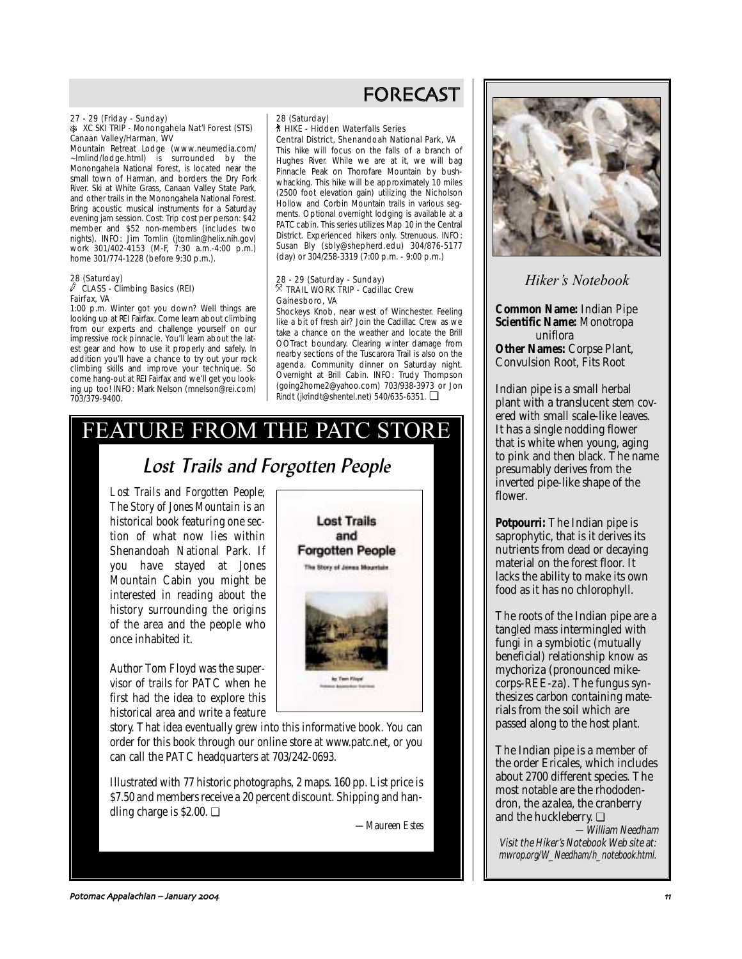# 27 - 29 (Friday - Sunday) A XC SKI TRIP - Monongahela Nat'l Forest (STS) Canaan Valley/Harman, WV

Mountain Retreat Lodge (www.neumedia.com/ ~lmlind/lodge.html) is surrounded by the Monongahela National Forest, is located near the small town of Harman, and borders the Dry Fork River. Ski at White Grass, Canaan Valley State Park, and other trails in the Monongahela National Forest. Bring acoustic musical instruments for a Saturday evening jam session. Cost: Trip cost per person: \$42 member and \$52 non-members (includes two nights). INFO: Jim Tomlin (jtomlin@helix.nih.gov) work 301/402-4153 (M-F, 7:30 a.m.-4:00 p.m.) home 301/774-1228 (before 9:30 p.m.).

#### 28 (Saturday)  $\sqrt{C}$  CLASS - Climbing Basics (REI) Fairfax, VA

1:00 p.m. Winter got you down? Well things are looking up at REI Fairfax. Come learn about climbing from our experts and challenge yourself on our impressive rock pinnacle. You'll learn about the latest gear and how to use it properly and safely. In addition you'll have a chance to try out your rock climbing skills and improve your technique. So come hang-out at REI Fairfax and we'll get you looking up too! INFO: Mark Nelson (mnelson@rei.com) 703/379-9400.

# FORECAST

#### 28 (Saturday) ` HIKE - Hidden Waterfalls Series Central District, Shenandoah National Park, VA

This hike will focus on the falls of a branch of Hughes River. While we are at it, we will bag Pinnacle Peak on Thorofare Mountain by bushwhacking. This hike will be approximately 10 miles (2500 foot elevation gain) utilizing the Nicholson Hollow and Corbin Mountain trails in various segments. Optional overnight lodging is available at a PATC cabin. This series utilizes Map 10 in the Central District. Experienced hikers only. Strenuous. INFO: Susan Bly (sbly@shepherd.edu) 304/876-5177 (day) or 304/258-3319 (7:00 p.m. - 9:00 p.m.)

#### 28 - 29 (Saturday - Sunday)  $\overline{R}$  TRAIL WORK TRIP - Cadillac Crew Gainesboro, VA

**Lost Trails** and **Forgotten People** The Story of James Mountain

**Art Trees Princed** 

Shockeys Knob, near west of Winchester. Feeling like a bit of fresh air? Join the Cadillac Crew as we take a chance on the weather and locate the Brill OOTract boundary. Clearing winter damage from nearby sections of the Tuscarora Trail is also on the agenda. Community dinner on Saturday night. Overnight at Brill Cabin. INFO: Trudy Thompson (going2home2@yahoo.com) 703/938-3973 or Jon Rindt (jkrindt@shentel.net) 540/635-6351. ❏

# FEATURE FROM THE PATC STORE

# Lost Trails and Forgotten Peopl<sup>e</sup>

*Lost Trails and Forgotten People; The Story of Jones Mountain* is an historical book featuring one section of what now lies within Shenandoah National Park. If you have stayed at Jones Mountain Cabin you might be interested in reading about the history surrounding the origins of the area and the people who once inhabited it.

Author Tom Floyd was the supervisor of trails for PATC when he first had the idea to explore this historical area and write a feature

story. That idea eventually grew into this informative book. You can order for this book through our online store at www.patc.net, or you can call the PATC headquarters at 703/242-0693.

Illustrated with 77 historic photographs, 2 maps. 160 pp. List price is \$7.50 and members receive a 20 percent discount. Shipping and handling charge is \$2.00. ❏

*—Maureen Estes*



*Hiker's Notebook*

**Common Name:** Indian Pipe **Scientific Name:** Monotropa uniflora

**Other Names:** Corpse Plant, Convulsion Root, Fits Root

Indian pipe is a small herbal plant with a translucent stem covered with small scale-like leaves. It has a single nodding flower that is white when young, aging to pink and then black. The name presumably derives from the inverted pipe-like shape of the flower.

**Potpourri:** The Indian pipe is saprophytic, that is it derives its nutrients from dead or decaying material on the forest floor. It lacks the ability to make its own food as it has no chlorophyll.

The roots of the Indian pipe are a tangled mass intermingled with fungi in a symbiotic (mutually beneficial) relationship know as mychoriza (pronounced mikecorps-REE-za). The fungus synthesizes carbon containing materials from the soil which are passed along to the host plant.

The Indian pipe is a member of the order Ericales, which includes about 2700 different species. The most notable are the rhododendron, the azalea, the cranberry and the huckleberry. ❏

—William Needham Visit the Hiker's Notebook Web site at: mwrop.org/W\_Needham/h\_notebook.html.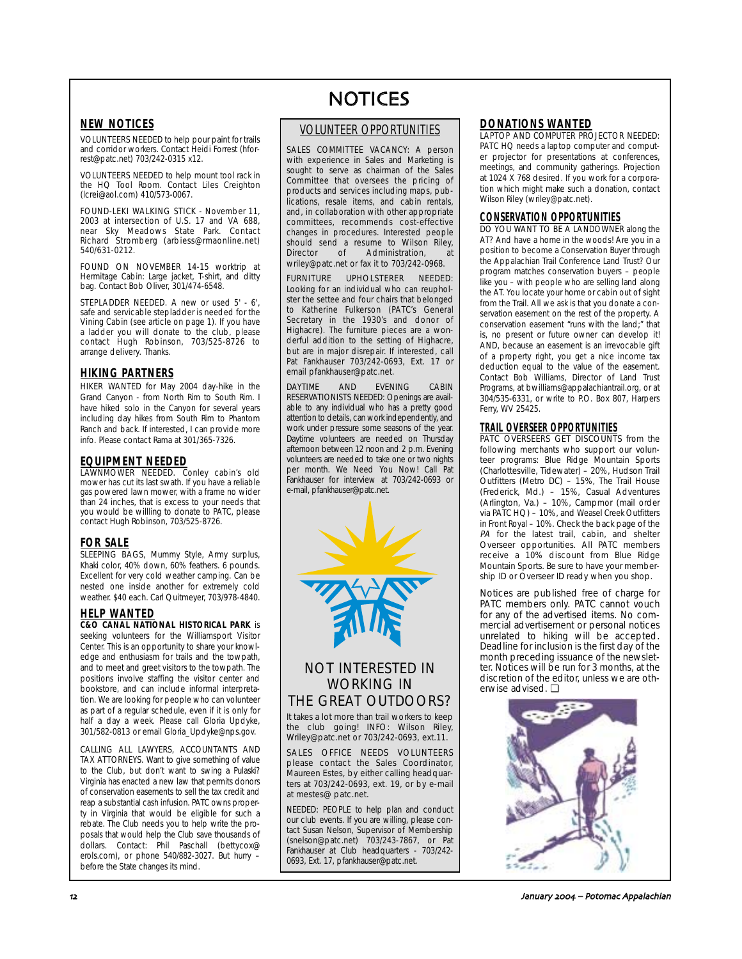# **NEW NOTICES**

VOLUNTEERS NEEDED to help pour paint for trails and corridor workers. Contact Heidi Forrest (hforrest@patc.net) 703/242-0315 x12.

VOLUNTEERS NEEDED to help mount tool rack in the HQ Tool Room. Contact Liles Creighton (lcrei@aol.com) 410/573-0067.

FOUND-LEKI WALKING STICK - November 11, 2003 at intersection of U.S. 17 and VA 688, near Sky Meadows State Park. Contact Richard Stromberg (arbiess@rmaonline.net) 540/631-0212.

FOUND ON NOVEMBER 14-15 worktrip at Hermitage Cabin: Large jacket, T-shirt, and ditty bag. Contact Bob Oliver, 301/474-6548.

STEPLADDER NEEDED. A new or used 5' - 6', safe and servicable stepladder is needed for the Vining Cabin (see article on page 1). If you have a ladder you will donate to the club, please contact Hugh Robinson, 703/525-8726 to arrange delivery. Thanks.

# **HIKING PARTNERS**

HIKER WANTED for May 2004 day-hike in the Grand Canyon - from North Rim to South Rim. I have hiked solo in the Canyon for several years including day hikes from South Rim to Phantom Ranch and back. If interested, I can provide more info. Please contact Rama at 301/365-7326.

# **EQUIPMENT NEEDED**

LAWNMOWER NEEDED. Conley cabin's old mower has cut its last swath. If you have a reliable gas powered lawn mower, with a frame no wider than 24 inches, that is excess to your needs that you would be willling to donate to PATC, please contact Hugh Robinson, 703/525-8726.

# **FOR SALE**

SLEEPING BAGS, Mummy Style, Army surplus, Khaki color, 40% down, 60% feathers. 6 pounds. Excellent for very cold weather camping. Can be nested one inside another for extremely cold weather. \$40 each. Carl Quitmeyer, 703/978-4840.

# **HELP WANTED**

**C&O CANAL NATIONAL HISTORICAL PARK** is seeking volunteers for the Williamsport Visitor Center. This is an opportunity to share your knowledge and enthusiasm for trails and the towpath, and to meet and greet visitors to the towpath. The positions involve staffing the visitor center and bookstore, and can include informal interpretation. We are looking for people who can volunteer as part of a regular schedule, even if it is only for half a day a week. Please call Gloria Updyke. 301/582-0813 or email Gloria\_Updyke@nps.gov.

CALLING ALL LAWYERS, ACCOUNTANTS AND TAX ATTORNEYS. Want to give something of value to the Club, but don't want to swing a Pulaski? Virginia has enacted a new law that permits donors of conservation easements to sell the tax credit and reap a substantial cash infusion. PATC owns property in Virginia that would be eligible for such a rebate. The Club needs you to help write the proposals that would help the Club save thousands of dollars. Contact: Phil Paschall (bettycox@ erols.com), or phone 540/882-3027. But hurry – before the State changes its mind.

# NOTICES

# VOLUNTEER OPPORTUNITIES

SALES COMMITTEE VACANCY: A person with experience in Sales and Marketing is sought to serve as chairman of the Sales Committee that oversees the pricing of products and services including maps, publications, resale items, and cabin rentals, and, in collaboration with other appropriate committees, recommends cost-effective changes in procedures. Interested people should send a resume to Wilson Riley,<br>Director of Administration at of Administration, wriley@patc.net or fax it to 703/242-0968.

FURNITURE UPHOLSTERER NEEDED: Looking for an individual who can reupholster the settee and four chairs that belonged to Katherine Fulkerson (PATC's General Secretary in the 1930's and donor of Highacre). The furniture pieces are a wonderful addition to the setting of Highacre, but are in major disrepair. If interested, call Pat Fankhauser 703/242-0693, Ext. 17 or email pfankhauser@patc.net.

DAYTIME AND EVENING CABIN RESERVATIONISTS NEEDED: Openings are available to any individual who has a pretty good attention to details, can work independently, and work under pressure some seasons of the year. Daytime volunteers are needed on Thursday afternoon between 12 noon and 2 p.m. Evening volunteers are needed to take one or two nights per month. We Need You Now! Call Pat Fankhauser for interview at 703/242-0693 or e-mail, pfankhauser@patc.net.



# NOT INTERESTED IN WORKING IN THE GREAT OUTDOORS?

It takes a lot more than trail workers to keep the club going! INFO: Wilson Riley, Wriley@patc.net or 703/242-0693, ext.11.

SALES OFFICE NEEDS VOLUNTEERS please contact the Sales Coordinator, .<br>Maureen Estes, by either calling headquarters at 703/242-0693, ext. 19, or by e-mail at mestes@ patc.net.

NEEDED: PEOPLE to help plan and conduct our club events. If you are willing, please contact Susan Nelson, Supervisor of Membership (snelson@patc.net) 703/243-7867, or Pat Fankhauser at Club headquarters - 703/242- 0693, Ext. 17, pfankhauser@patc.net.

## **DONATIONS WANTED**

LAPTOP AND COMPUTER PROJECTOR NEEDED: PATC HQ needs a laptop computer and computer projector for presentations at conferences, meetings, and community gatherings. Projection at 1024 X 768 desired. If you work for a corporation which might make such a donation, contact Wilson Riley (wriley@patc.net).

# **CONSERVATION OPPORTUNITIES**

DO YOU WANT TO BE A LANDOWNER along the AT? And have a home in the woods! Are you in a position to become a Conservation Buyer through the Appalachian Trail Conference Land Trust? Our program matches conservation buyers – people like you – with people who are selling land along the AT. You locate your home or cabin out of sight from the Trail. All we ask is that you donate a conservation easement on the rest of the property. A conservation easement "runs with the land;" that is, no present or future owner can develop it! AND, because an easement is an irrevocable gift of a property right, you get a nice income tax deduction equal to the value of the easement. Contact Bob Williams, Director of Land Trust Programs, at bwilliams@appalachiantrail.org, or at 304/535-6331, or write to P.O. Box 807, Harpers Ferry, WV 25425.

# **TRAIL OVERSEER OPPORTUNITIES**

PATC OVERSEERS GET DISCOUNTS from the following merchants who support our volunteer programs: Blue Ridge Mountain Sports (Charlottesville, Tidewater) – 20%, Hudson Trail Outfitters (Metro DC) – 15%, The Trail House (Frederick, Md.) – 15%, Casual Adventures (Arlington, Va.) – 10%, Campmor (mail order via PATC HQ) – 10%, and Weasel Creek Outfitters in Front Royal – 10%. Check the back page of the PA for the latest trail, cabin, and shelter Overseer opportunities. All PATC members receive a 10% discount from Blue Ridge Mountain Sports. Be sure to have your membership ID or Overseer ID ready when you shop.

Notices are published free of charge for PATC members only. PATC cannot vouch for any of the advertised items. No commercial advertisement or personal notices unrelated to hiking will be accepted. Deadline for inclusion is the first day of the month preceding issuance of the newsletter. Notices will be run for 3 months, at the discretion of the editor, unless we are otherwise advised. ❏

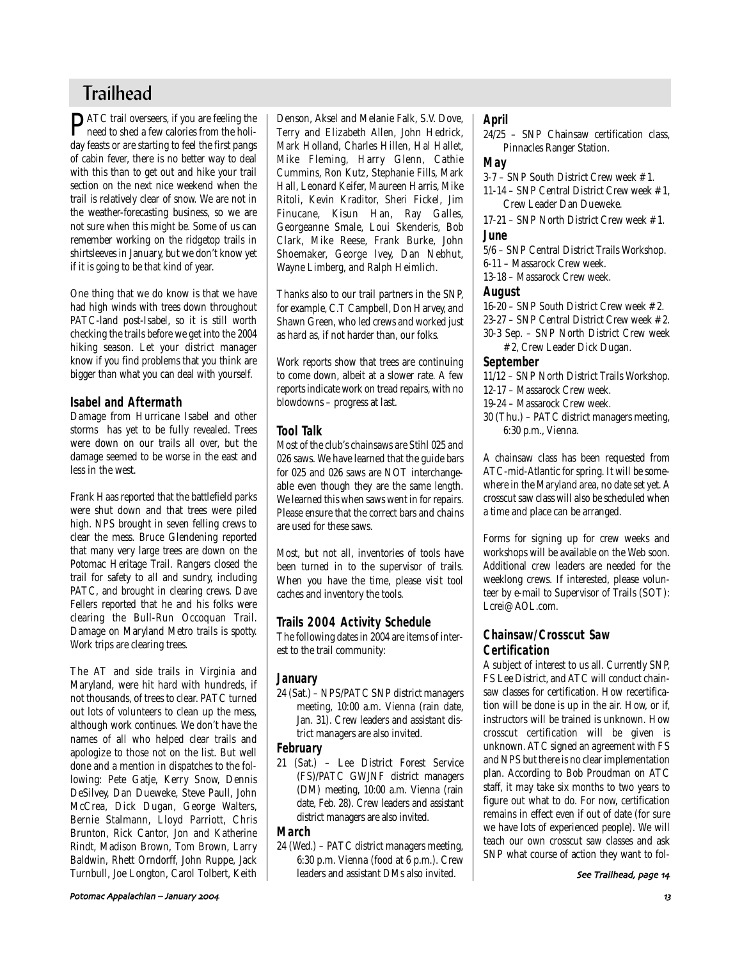# **Trailhead**

**PATC** trail overseers, if you are feeling the need to shed a few calories from the holiday feasts or are starting to feel the first pangs of cabin fever, there is no better way to deal with this than to get out and hike your trail section on the next nice weekend when the trail is relatively clear of snow. We are not in the weather-forecasting business, so we are not sure when this might be. Some of us can remember working on the ridgetop trails in shirtsleeves in January, but we don't know yet if it is going to be that kind of year.

One thing that we do know is that we have had high winds with trees down throughout PATC-land post-Isabel, so it is still worth checking the trails before we get into the 2004 hiking season. Let your district manager know if you find problems that you think are bigger than what you can deal with yourself.

# **Isabel and Aftermath**

Damage from Hurricane Isabel and other storms has yet to be fully revealed. Trees were down on our trails all over, but the damage seemed to be worse in the east and less in the west.

Frank Haas reported that the battlefield parks were shut down and that trees were piled high. NPS brought in seven felling crews to clear the mess. Bruce Glendening reported that many very large trees are down on the Potomac Heritage Trail. Rangers closed the trail for safety to all and sundry, including PATC, and brought in clearing crews. Dave Fellers reported that he and his folks were clearing the Bull-Run Occoquan Trail. Damage on Maryland Metro trails is spotty. Work trips are clearing trees.

The AT and side trails in Virginia and Maryland, were hit hard with hundreds, if not thousands, of trees to clear. PATC turned out lots of volunteers to clean up the mess, although work continues. We don't have the names of all who helped clear trails and apologize to those not on the list. But well done and a mention in dispatches to the following: Pete Gatje, Kerry Snow, Dennis DeSilvey, Dan Dueweke, Steve Paull, John McCrea, Dick Dugan, George Walters, Bernie Stalmann, Lloyd Parriott, Chris Brunton, Rick Cantor, Jon and Katherine Rindt, Madison Brown, Tom Brown, Larry Baldwin, Rhett Orndorff, John Ruppe, Jack Turnbull, Joe Longton, Carol Tolbert, Keith Denson, Aksel and Melanie Falk, S.V. Dove, Terry and Elizabeth Allen, John Hedrick, Mark Holland, Charles Hillen, Hal Hallet, Mike Fleming, Harry Glenn, Cathie Cummins, Ron Kutz, Stephanie Fills, Mark Hall, Leonard Keifer, Maureen Harris, Mike Ritoli, Kevin Kraditor, Sheri Fickel, Jim Finucane, Kisun Han, Ray Galles, Georgeanne Smale, Loui Skenderis, Bob Clark, Mike Reese, Frank Burke, John Shoemaker, George Ivey, Dan Nebhut, Wayne Limberg, and Ralph Heimlich.

Thanks also to our trail partners in the SNP, for example, C.T Campbell, Don Harvey, and Shawn Green, who led crews and worked just as hard as, if not harder than, our folks.

Work reports show that trees are continuing to come down, albeit at a slower rate. A few reports indicate work on tread repairs, with no blowdowns – progress at last.

# **Tool Talk**

Most of the club's chainsaws are Stihl 025 and 026 saws. We have learned that the guide bars for 025 and 026 saws are NOT interchangeable even though they are the same length. We learned this when saws went in for repairs. Please ensure that the correct bars and chains are used for these saws.

Most, but not all, inventories of tools have been turned in to the supervisor of trails. When you have the time, please visit tool caches and inventory the tools.

# **Trails 2004 Activity Schedule**

The following dates in 2004 are items of interest to the trail community:

# **January**

24 (Sat.) – NPS/PATC SNP district managers meeting, 10:00 a.m. Vienna (rain date, Jan. 31). Crew leaders and assistant district managers are also invited.

# **February**

21 (Sat.) – Lee District Forest Service (FS)/PATC GWJNF district managers (DM) meeting, 10:00 a.m. Vienna (rain date, Feb. 28). Crew leaders and assistant district managers are also invited.

# **March**

24 (Wed.) – PATC district managers meeting, 6:30 p.m. Vienna (food at 6 p.m.). Crew leaders and assistant DMs also invited.

# **April**

24/25 – SNP Chainsaw certification class, Pinnacles Ranger Station.

# **May**

3-7 – SNP South District Crew week #1. 11-14 – SNP Central District Crew week #1,

Crew Leader Dan Dueweke. 17-21 – SNP North District Crew week #1.

# **June**

5/6 – SNP Central District Trails Workshop.

6-11 – Massarock Crew week.

13-18 – Massarock Crew week.

# **August**

16-20 – SNP South District Crew week #2.

- 23-27 SNP Central District Crew week #2.
- 30-3 Sep. SNP North District Crew week #2, Crew Leader Dick Dugan.

# **September**

- 11/12 SNP North District Trails Workshop.
- 12-17 Massarock Crew week.
- 19-24 Massarock Crew week.
- 30 (Thu.) PATC district managers meeting, 6:30 p.m., Vienna.

A chainsaw class has been requested from ATC-mid-Atlantic for spring. It will be somewhere in the Maryland area, no date set yet. A crosscut saw class will also be scheduled when a time and place can be arranged.

Forms for signing up for crew weeks and workshops will be available on the Web soon. Additional crew leaders are needed for the weeklong crews. If interested, please volunteer by e-mail to Supervisor of Trails (SOT): Lcrei@AOL.com.

# **Chainsaw/Crosscut Saw Certification**

A subject of interest to us all. Currently SNP, FS Lee District, and ATC will conduct chainsaw classes for certification. How recertification will be done is up in the air. How, or if, instructors will be trained is unknown. How crosscut certification will be given is unknown. ATC signed an agreement with FS and NPS but there is no clear implementation plan. According to Bob Proudman on ATC staff, it may take six months to two years to figure out what to do. For now, certification remains in effect even if out of date (for sure we have lots of experienced people). We will teach our own crosscut saw classes and ask SNP what course of action they want to fol-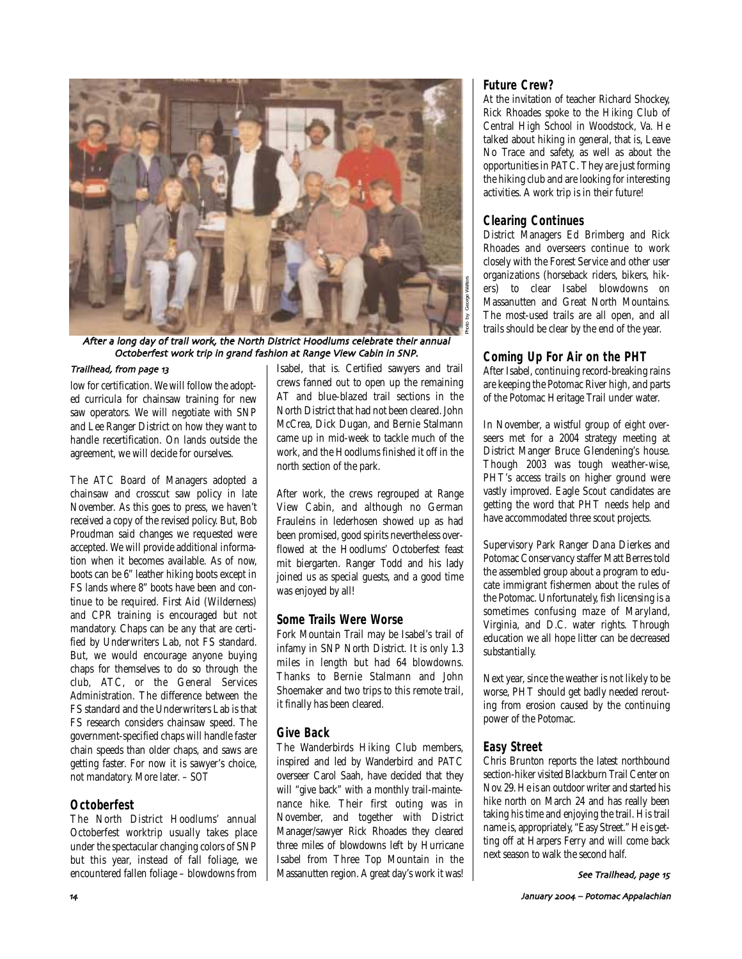

After a long day of trail work, the North District Hoodlums celebrate their annual Octoberfest work trip in grand fashion at Range View Cabin in SNP

### Trailhead, from page 13

low for certification. We will follow the adopted curricula for chainsaw training for new saw operators. We will negotiate with SNP and Lee Ranger District on how they want to handle recertification. On lands outside the agreement, we will decide for ourselves.

The ATC Board of Managers adopted a chainsaw and crosscut saw policy in late November. As this goes to press, we haven't received a copy of the revised policy. But, Bob Proudman said changes we requested were accepted. We will provide additional information when it becomes available. As of now, boots can be 6" leather hiking boots except in FS lands where 8" boots have been and continue to be required. First Aid (Wilderness) and CPR training is encouraged but not mandatory. Chaps can be any that are certified by Underwriters Lab, not FS standard. But, we would encourage anyone buying chaps for themselves to do so through the club, ATC, or the General Services Administration. The difference between the FS standard and the Underwriters Lab is that FS research considers chainsaw speed. The government-specified chaps will handle faster chain speeds than older chaps, and saws are getting faster. For now it is sawyer's choice, not mandatory. More later. – *SOT* 

# **Octoberfest**

The North District Hoodlums' annual Octoberfest worktrip usually takes place under the spectacular changing colors of SNP but this year, instead of fall foliage, we encountered fallen foliage – blowdowns from Isabel, that is. Certified sawyers and trail crews fanned out to open up the remaining AT and blue-blazed trail sections in the North District that had not been cleared. John McCrea, Dick Dugan, and Bernie Stalmann came up in mid-week to tackle much of the work, and the Hoodlums finished it off in the north section of the park.

After work, the crews regrouped at Range View Cabin, and although no German Frauleins in lederhosen showed up as had been promised, good spirits nevertheless overflowed at the Hoodlums' Octoberfest feast mit biergarten. Ranger Todd and his lady joined us as special guests, and a good time was enjoyed by all!

# **Some Trails Were Worse**

Fork Mountain Trail may be Isabel's trail of infamy in SNP North District. It is only 1.3 miles in length but had 64 blowdowns. Thanks to Bernie Stalmann and John Shoemaker and two trips to this remote trail, it finally has been cleared.

# **Give Back**

The Wanderbirds Hiking Club members, inspired and led by Wanderbird and PATC overseer Carol Saah, have decided that they will "give back" with a monthly trail-maintenance hike. Their first outing was in November, and together with District Manager/sawyer Rick Rhoades they cleared three miles of blowdowns left by Hurricane Isabel from Three Top Mountain in the Massanutten region. A great day's work it was!

### **Future Crew?**

At the invitation of teacher Richard Shockey, Rick Rhoades spoke to the Hiking Club of Central High School in Woodstock, Va. He talked about hiking in general, that is, Leave No Trace and safety, as well as about the opportunities in PATC. They are just forming the hiking club and are looking for interesting activities. A work trip is in their future!

# **Clearing Continues**

District Managers Ed Brimberg and Rick Rhoades and overseers continue to work closely with the Forest Service and other user organizations (horseback riders, bikers, hikers) to clear Isabel blowdowns on Massanutten and Great North Mountains. The most-used trails are all open, and all trails should be clear by the end of the year.

# **Coming Up For Air on the PHT**

After Isabel, continuing record-breaking rains are keeping the Potomac River high, and parts of the Potomac Heritage Trail under water.

In November, a wistful group of eight overseers met for a 2004 strategy meeting at District Manger Bruce Glendening's house. Though 2003 was tough weather-wise, PHT's access trails on higher ground were vastly improved. Eagle Scout candidates are getting the word that PHT needs help and have accommodated three scout projects.

Supervisory Park Ranger Dana Dierkes and Potomac Conservancy staffer Matt Berres told the assembled group about a program to educate immigrant fishermen about the rules of the Potomac. Unfortunately, fish licensing is a sometimes confusing maze of Maryland, Virginia, and D.C. water rights. Through education we all hope litter can be decreased substantially.

Next year, since the weather is not likely to be worse, PHT should get badly needed rerouting from erosion caused by the continuing power of the Potomac.

# **Easy Street**

Chris Brunton reports the latest northbound section-hiker visited Blackburn Trail Center on Nov. 29. He is an outdoor writer and started his hike north on March 24 and has really been taking his time and enjoying the trail. His trail name is, appropriately, "Easy Street." He is getting off at Harpers Ferry and will come back next season to walk the second half.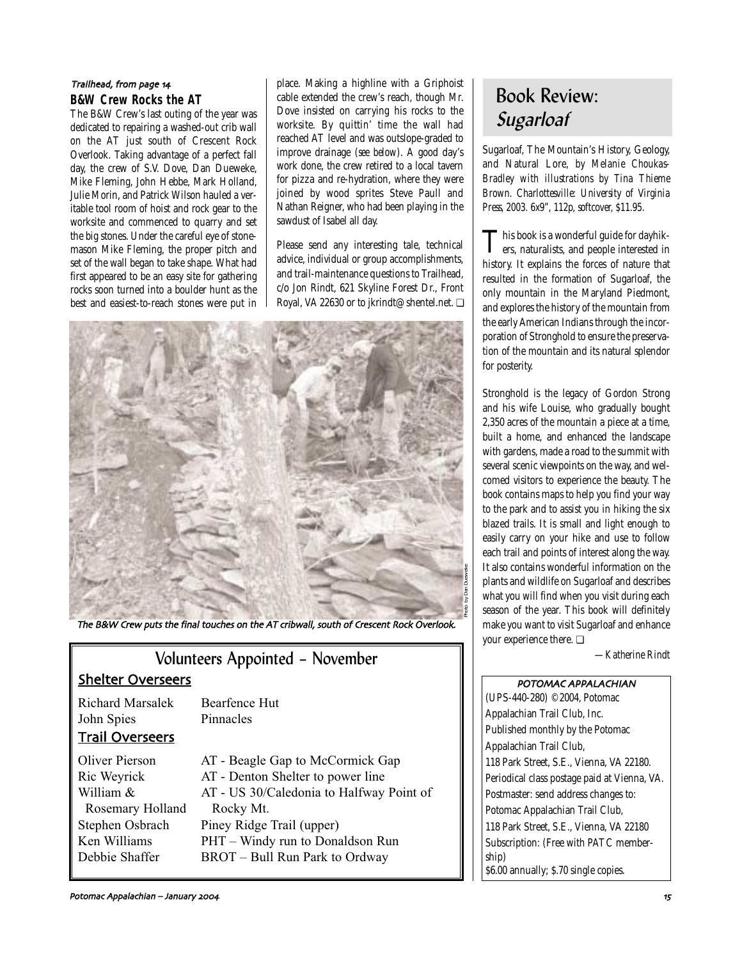# **B&W Crew Rocks the AT** Trailhead, from page 14

The B&W Crew's last outing of the year was dedicated to repairing a washed-out crib wall on the AT just south of Crescent Rock Overlook. Taking advantage of a perfect fall day, the crew of S.V. Dove, Dan Dueweke, Mike Fleming, John Hebbe, Mark Holland, Julie Morin, and Patrick Wilson hauled a veritable tool room of hoist and rock gear to the worksite and commenced to quarry and set the big stones. Under the careful eye of stonemason Mike Fleming, the proper pitch and set of the wall began to take shape. What had first appeared to be an easy site for gathering rocks soon turned into a boulder hunt as the best and easiest-to-reach stones were put in place. Making a highline with a Griphoist cable extended the crew's reach, though Mr. Dove insisted on carrying his rocks to the worksite. By quittin' time the wall had reached AT level and was outslope-graded to improve drainage (*see below*). A good day's work done, the crew retired to a local tavern for pizza and re-hydration, where they were joined by wood sprites Steve Paull and Nathan Reigner, who had been playing in the sawdust of Isabel all day.

Please send any interesting tale, technical advice, individual or group accomplishments, and trail-maintenance questions to Trailhead, c/o Jon Rindt, 621 Skyline Forest Dr., Front Royal, VA 22630 or to jkrindt@shentel.net. ❏



The B&W Crew puts the final touches on the AT cribwall, south of Crescent Rock Overlook.

| Volunteers Appointed - November                                                                                            |                                                                                                                                                                                                                                   |  |  |
|----------------------------------------------------------------------------------------------------------------------------|-----------------------------------------------------------------------------------------------------------------------------------------------------------------------------------------------------------------------------------|--|--|
| <b>Shelter Overseers</b>                                                                                                   |                                                                                                                                                                                                                                   |  |  |
| Richard Marsalek<br>John Spies<br><b>Trail Overseers</b>                                                                   | Bearfence Hut<br>Pinnacles                                                                                                                                                                                                        |  |  |
| <b>Oliver Pierson</b><br>Ric Weyrick<br>William &<br>Rosemary Holland<br>Stephen Osbrach<br>Ken Williams<br>Debbie Shaffer | AT - Beagle Gap to McCormick Gap<br>AT - Denton Shelter to power line<br>AT - US 30/Caledonia to Halfway Point of<br>Rocky Mt.<br>Piney Ridge Trail (upper)<br>PHT – Windy run to Donaldson Run<br>BROT – Bull Run Park to Ordway |  |  |

# Book Review: **Sugarloaf**

Sugarloaf, The Mountain's History, Geology, and Natural Lore, *by Melanie Choukas-Bradley with illustrations by Tina Thieme Brown. Charlottesville: University of Virginia Press, 2003. 6x9", 112p, softcover, \$11.95.*

This book is a wonderful guide for dayhik-ers, naturalists, and people interested in history. It explains the forces of nature that resulted in the formation of Sugarloaf, the only mountain in the Maryland Piedmont, and explores the history of the mountain from the early American Indians through the incorporation of Stronghold to ensure the preservation of the mountain and its natural splendor for posterity.

Stronghold is the legacy of Gordon Strong and his wife Louise, who gradually bought 2,350 acres of the mountain a piece at a time, built a home, and enhanced the landscape with gardens, made a road to the summit with several scenic viewpoints on the way, and welcomed visitors to experience the beauty. The book contains maps to help you find your way to the park and to assist you in hiking the six blazed trails. It is small and light enough to easily carry on your hike and use to follow each trail and points of interest along the way. It also contains wonderful information on the plants and wildlife on Sugarloaf and describes what you will find when you visit during each season of the year. This book will definitely make you want to visit Sugarloaf and enhance your experience there. ❏

*—Katherine Rindt*

POTOMAC APPALACHIAN (UPS-440-280) ©2004, Potomac Appalachian Trail Club, Inc. Published monthly by the Potomac Appalachian Trail Club, 118 Park Street, S.E., Vienna, VA 22180. Periodical class postage paid at Vienna, VA. Postmaster: send address changes to: Potomac Appalachian Trail Club, 118 Park Street, S.E., Vienna, VA 22180 Subscription: (Free with PATC membership) \$6.00 annually; \$.70 single copies.